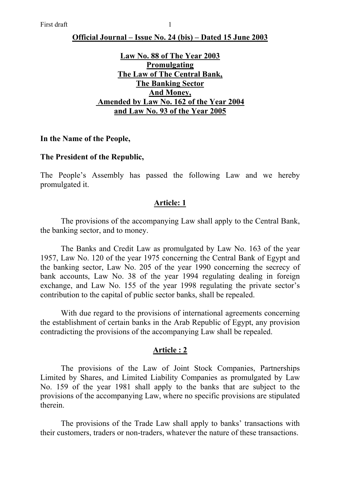### **Official Journal – Issue No. 24 (bis) – Dated 15 June 2003**

## **Law No. 88 of The Year 2003 Promulgating The Law of The Central Bank, The Banking Sector And Money, Amended by Law No. 162 of the Year 2004 and Law No. 93 of the Year 2005**

#### **In the Name of the People,**

#### **The President of the Republic,**

The People's Assembly has passed the following Law and we hereby promulgated it.

### **Article: 1**

 The provisions of the accompanying Law shall apply to the Central Bank, the banking sector, and to money.

 The Banks and Credit Law as promulgated by Law No. 163 of the year 1957, Law No. 120 of the year 1975 concerning the Central Bank of Egypt and the banking sector, Law No. 205 of the year 1990 concerning the secrecy of bank accounts, Law No. 38 of the year 1994 regulating dealing in foreign exchange, and Law No. 155 of the year 1998 regulating the private sector's contribution to the capital of public sector banks, shall be repealed.

 With due regard to the provisions of international agreements concerning the establishment of certain banks in the Arab Republic of Egypt, any provision contradicting the provisions of the accompanying Law shall be repealed.

### **Article : 2**

 The provisions of the Law of Joint Stock Companies, Partnerships Limited by Shares, and Limited Liability Companies as promulgated by Law No. 159 of the year 1981 shall apply to the banks that are subject to the provisions of the accompanying Law, where no specific provisions are stipulated therein.

The provisions of the Trade Law shall apply to banks' transactions with their customers, traders or non-traders, whatever the nature of these transactions.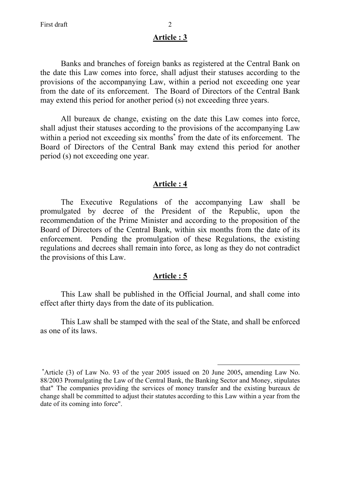Banks and branches of foreign banks as registered at the Central Bank on the date this Law comes into force, shall adjust their statuses according to the provisions of the accompanying Law, within a period not exceeding one year from the date of its enforcement. The Board of Directors of the Central Bank may extend this period for another period (s) not exceeding three years.

 All bureaux de change, existing on the date this Law comes into force, shall adjust their statuses according to the provisions of the accompanying Law within a period not exceeding six months<sup>\*</sup> from the date of its enforcement. The Board of Directors of the Central Bank may extend this period for another period (s) not exceeding one year.

## **Article : 4**

 The Executive Regulations of the accompanying Law shall be promulgated by decree of the President of the Republic, upon the recommendation of the Prime Minister and according to the proposition of the Board of Directors of the Central Bank, within six months from the date of its enforcement. Pending the promulgation of these Regulations, the existing regulations and decrees shall remain into force, as long as they do not contradict the provisions of this Law.

#### **Article : 5**

 This Law shall be published in the Official Journal, and shall come into effect after thirty days from the date of its publication.

 This Law shall be stamped with the seal of the State, and shall be enforced as one of its laws.

<sup>∗</sup> Article (3) of Law No. 93 of the year 2005 issued on 20 June 2005**,** amending Law No. 88/2003 Promulgating the Law of the Central Bank, the Banking Sector and Money, stipulates that" The companies providing the services of money transfer and the existing bureaux de change shall be committed to adjust their statutes according to this Law within a year from the date of its coming into force".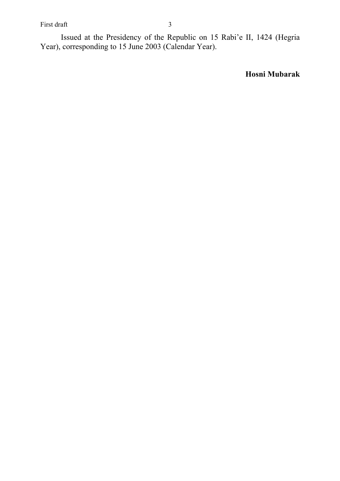First draft 3

 Issued at the Presidency of the Republic on 15 Rabi'e II, 1424 (Hegria Year), corresponding to 15 June 2003 (Calendar Year).

**Hosni Mubarak**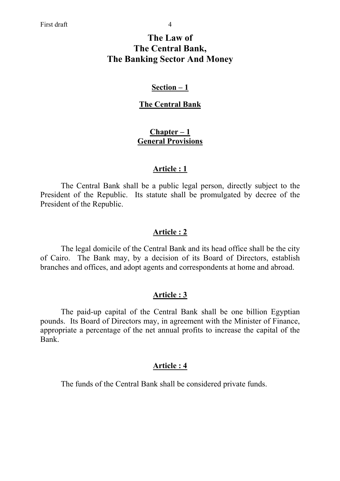# **The Law of The Central Bank, The Banking Sector And Money**

## **Section – 1**

## **The Central Bank**

## **Chapter – 1 General Provisions**

### **Article : 1**

 The Central Bank shall be a public legal person, directly subject to the President of the Republic. Its statute shall be promulgated by decree of the President of the Republic.

## **Article : 2**

 The legal domicile of the Central Bank and its head office shall be the city of Cairo. The Bank may, by a decision of its Board of Directors, establish branches and offices, and adopt agents and correspondents at home and abroad.

## **Article : 3**

 The paid-up capital of the Central Bank shall be one billion Egyptian pounds. Its Board of Directors may, in agreement with the Minister of Finance, appropriate a percentage of the net annual profits to increase the capital of the Bank.

## **Article : 4**

The funds of the Central Bank shall be considered private funds.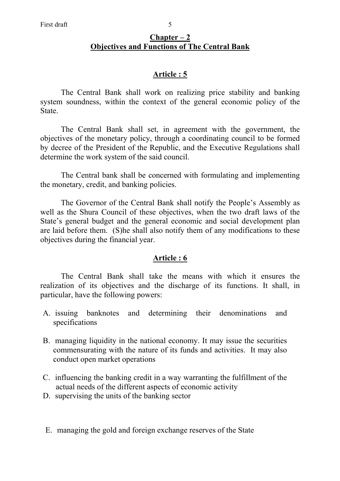The Central Bank shall work on realizing price stability and banking system soundness, within the context of the general economic policy of the State.

 The Central Bank shall set, in agreement with the government, the objectives of the monetary policy, through a coordinating council to be formed by decree of the President of the Republic, and the Executive Regulations shall determine the work system of the said council.

 The Central bank shall be concerned with formulating and implementing the monetary, credit, and banking policies.

 The Governor of the Central Bank shall notify the People's Assembly as well as the Shura Council of these objectives, when the two draft laws of the State's general budget and the general economic and social development plan are laid before them. (S)he shall also notify them of any modifications to these objectives during the financial year.

# **Article : 6**

 The Central Bank shall take the means with which it ensures the realization of its objectives and the discharge of its functions. It shall, in particular, have the following powers:

- A. issuing banknotes and determining their denominations and specifications
- B. managing liquidity in the national economy. It may issue the securities commensurating with the nature of its funds and activities. It may also conduct open market operations
- C. influencing the banking credit in a way warranting the fulfillment of the actual needs of the different aspects of economic activity
- D. supervising the units of the banking sector

E. managing the gold and foreign exchange reserves of the State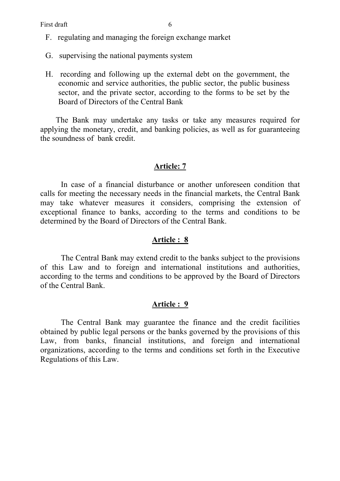- F. regulating and managing the foreign exchange market
- G. supervising the national payments system
- H. recording and following up the external debt on the government, the economic and service authorities, the public sector, the public business sector, and the private sector, according to the forms to be set by the Board of Directors of the Central Bank

The Bank may undertake any tasks or take any measures required for applying the monetary, credit, and banking policies, as well as for guaranteeing the soundness of bank credit.

### **Article: 7**

 In case of a financial disturbance or another unforeseen condition that calls for meeting the necessary needs in the financial markets, the Central Bank may take whatever measures it considers, comprising the extension of exceptional finance to banks, according to the terms and conditions to be determined by the Board of Directors of the Central Bank.

#### **Article : 8**

The Central Bank may extend credit to the banks subject to the provisions of this Law and to foreign and international institutions and authorities, according to the terms and conditions to be approved by the Board of Directors of the Central Bank.

#### **Article : 9**

 The Central Bank may guarantee the finance and the credit facilities obtained by public legal persons or the banks governed by the provisions of this Law, from banks, financial institutions, and foreign and international organizations, according to the terms and conditions set forth in the Executive Regulations of this Law.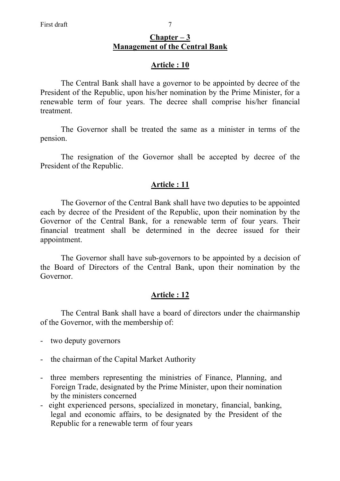## **Chapter – 3 Management of the Central Bank**

## **Article : 10**

 The Central Bank shall have a governor to be appointed by decree of the President of the Republic, upon his/her nomination by the Prime Minister, for a renewable term of four years. The decree shall comprise his/her financial treatment.

 The Governor shall be treated the same as a minister in terms of the pension.

 The resignation of the Governor shall be accepted by decree of the President of the Republic.

## **Article : 11**

 The Governor of the Central Bank shall have two deputies to be appointed each by decree of the President of the Republic, upon their nomination by the Governor of the Central Bank, for a renewable term of four years. Their financial treatment shall be determined in the decree issued for their appointment.

 The Governor shall have sub-governors to be appointed by a decision of the Board of Directors of the Central Bank, upon their nomination by the Governor.

## **Article : 12**

 The Central Bank shall have a board of directors under the chairmanship of the Governor, with the membership of:

- two deputy governors
- the chairman of the Capital Market Authority
- three members representing the ministries of Finance, Planning, and Foreign Trade, designated by the Prime Minister, upon their nomination by the ministers concerned
- eight experienced persons, specialized in monetary, financial, banking, legal and economic affairs, to be designated by the President of the Republic for a renewable term of four years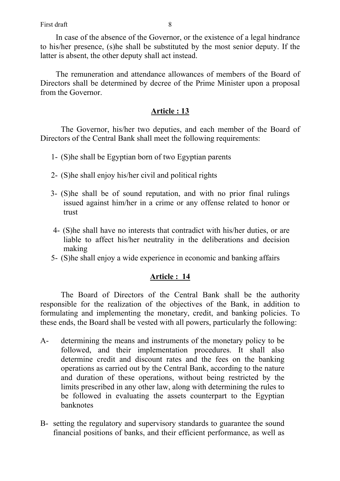In case of the absence of the Governor, or the existence of a legal hindrance to his/her presence, (s)he shall be substituted by the most senior deputy. If the latter is absent, the other deputy shall act instead.

The remuneration and attendance allowances of members of the Board of Directors shall be determined by decree of the Prime Minister upon a proposal from the Governor.

## **Article : 13**

 The Governor, his/her two deputies, and each member of the Board of Directors of the Central Bank shall meet the following requirements:

- 1- (S)he shall be Egyptian born of two Egyptian parents
- 2- (S)he shall enjoy his/her civil and political rights
- 3- (S)he shall be of sound reputation, and with no prior final rulings issued against him/her in a crime or any offense related to honor or trust
- 4- (S)he shall have no interests that contradict with his/her duties, or are liable to affect his/her neutrality in the deliberations and decision making
- 5- (S)he shall enjoy a wide experience in economic and banking affairs

# **Article : 14**

 The Board of Directors of the Central Bank shall be the authority responsible for the realization of the objectives of the Bank, in addition to formulating and implementing the monetary, credit, and banking policies. To these ends, the Board shall be vested with all powers, particularly the following:

- A- determining the means and instruments of the monetary policy to be followed, and their implementation procedures. It shall also determine credit and discount rates and the fees on the banking operations as carried out by the Central Bank, according to the nature and duration of these operations, without being restricted by the limits prescribed in any other law, along with determining the rules to be followed in evaluating the assets counterpart to the Egyptian banknotes
- B- setting the regulatory and supervisory standards to guarantee the sound financial positions of banks, and their efficient performance, as well as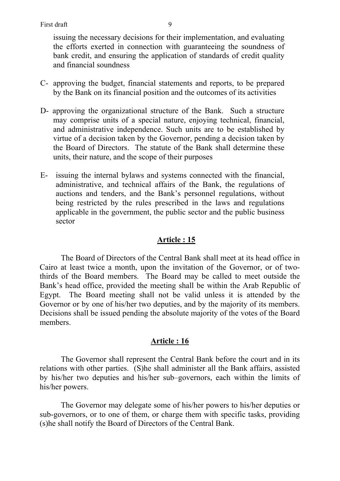issuing the necessary decisions for their implementation, and evaluating the efforts exerted in connection with guaranteeing the soundness of bank credit, and ensuring the application of standards of credit quality and financial soundness

- C- approving the budget, financial statements and reports, to be prepared by the Bank on its financial position and the outcomes of its activities
- D- approving the organizational structure of the Bank. Such a structure may comprise units of a special nature, enjoying technical, financial, and administrative independence. Such units are to be established by virtue of a decision taken by the Governor, pending a decision taken by the Board of Directors. The statute of the Bank shall determine these units, their nature, and the scope of their purposes
- E- issuing the internal bylaws and systems connected with the financial, administrative, and technical affairs of the Bank, the regulations of auctions and tenders, and the Bank's personnel regulations, without being restricted by the rules prescribed in the laws and regulations applicable in the government, the public sector and the public business sector

## **Article : 15**

 The Board of Directors of the Central Bank shall meet at its head office in Cairo at least twice a month, upon the invitation of the Governor, or of twothirds of the Board members. The Board may be called to meet outside the Bank's head office, provided the meeting shall be within the Arab Republic of Egypt. The Board meeting shall not be valid unless it is attended by the Governor or by one of his/her two deputies, and by the majority of its members. Decisions shall be issued pending the absolute majority of the votes of the Board members.

## **Article : 16**

 The Governor shall represent the Central Bank before the court and in its relations with other parties. (S)he shall administer all the Bank affairs, assisted by his/her two deputies and his/her sub–governors, each within the limits of his/her powers.

 The Governor may delegate some of his/her powers to his/her deputies or sub-governors, or to one of them, or charge them with specific tasks, providing (s)he shall notify the Board of Directors of the Central Bank.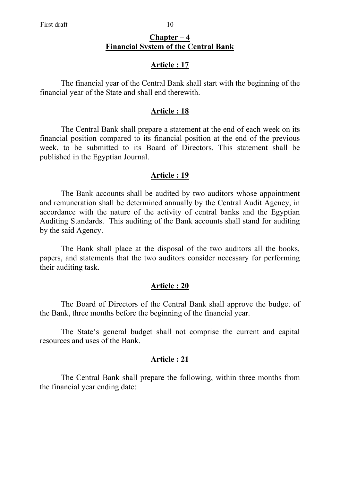## **Chapter – 4 Financial System of the Central Bank**

## **Article : 17**

 The financial year of the Central Bank shall start with the beginning of the financial year of the State and shall end therewith.

### **Article : 18**

 The Central Bank shall prepare a statement at the end of each week on its financial position compared to its financial position at the end of the previous week, to be submitted to its Board of Directors. This statement shall be published in the Egyptian Journal.

### **Article : 19**

 The Bank accounts shall be audited by two auditors whose appointment and remuneration shall be determined annually by the Central Audit Agency, in accordance with the nature of the activity of central banks and the Egyptian Auditing Standards. This auditing of the Bank accounts shall stand for auditing by the said Agency.

 The Bank shall place at the disposal of the two auditors all the books, papers, and statements that the two auditors consider necessary for performing their auditing task.

### **Article : 20**

 The Board of Directors of the Central Bank shall approve the budget of the Bank, three months before the beginning of the financial year.

 The State's general budget shall not comprise the current and capital resources and uses of the Bank.

#### **Article : 21**

The Central Bank shall prepare the following, within three months from the financial year ending date: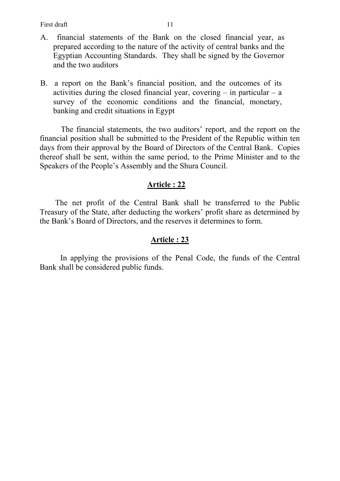First draft 11

- A. financial statements of the Bank on the closed financial year, as prepared according to the nature of the activity of central banks and the Egyptian Accounting Standards. They shall be signed by the Governor and the two auditors
- B. a report on the Bank's financial position, and the outcomes of its activities during the closed financial year, covering  $-$  in particular  $-$  a survey of the economic conditions and the financial, monetary, banking and credit situations in Egypt

 The financial statements, the two auditors' report, and the report on the financial position shall be submitted to the President of the Republic within ten days from their approval by the Board of Directors of the Central Bank. Copies thereof shall be sent, within the same period, to the Prime Minister and to the Speakers of the People's Assembly and the Shura Council.

## **Article : 22**

The net profit of the Central Bank shall be transferred to the Public Treasury of the State, after deducting the workers' profit share as determined by the Bank's Board of Directors, and the reserves it determines to form.

## **Article : 23**

In applying the provisions of the Penal Code, the funds of the Central Bank shall be considered public funds.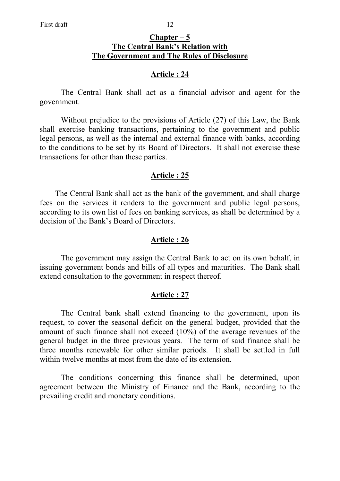### **Chapter – 5 The Central Bank's Relation with The Government and The Rules of Disclosure**

### **Article : 24**

The Central Bank shall act as a financial advisor and agent for the government.

 Without prejudice to the provisions of Article (27) of this Law, the Bank shall exercise banking transactions, pertaining to the government and public legal persons, as well as the internal and external finance with banks, according to the conditions to be set by its Board of Directors. It shall not exercise these transactions for other than these parties.

#### **Article : 25**

The Central Bank shall act as the bank of the government, and shall charge fees on the services it renders to the government and public legal persons, according to its own list of fees on banking services, as shall be determined by a decision of the Bank's Board of Directors.

#### **Article : 26**

The government may assign the Central Bank to act on its own behalf, in issuing government bonds and bills of all types and maturities. The Bank shall extend consultation to the government in respect thereof.

#### **Article : 27**

 The Central bank shall extend financing to the government, upon its request, to cover the seasonal deficit on the general budget, provided that the amount of such finance shall not exceed (10%) of the average revenues of the general budget in the three previous years. The term of said finance shall be three months renewable for other similar periods. It shall be settled in full within twelve months at most from the date of its extension.

 The conditions concerning this finance shall be determined, upon agreement between the Ministry of Finance and the Bank, according to the prevailing credit and monetary conditions.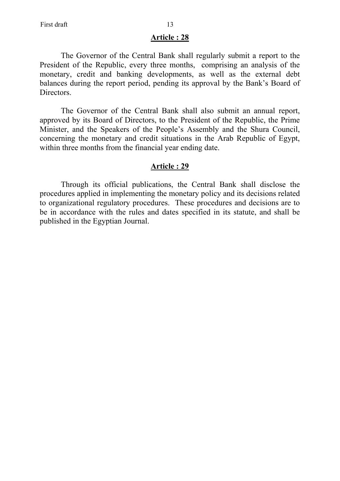The Governor of the Central Bank shall regularly submit a report to the President of the Republic, every three months, comprising an analysis of the monetary, credit and banking developments, as well as the external debt balances during the report period, pending its approval by the Bank's Board of Directors.

 The Governor of the Central Bank shall also submit an annual report, approved by its Board of Directors, to the President of the Republic, the Prime Minister, and the Speakers of the People's Assembly and the Shura Council, concerning the monetary and credit situations in the Arab Republic of Egypt, within three months from the financial year ending date.

#### **Article : 29**

Through its official publications, the Central Bank shall disclose the procedures applied in implementing the monetary policy and its decisions related to organizational regulatory procedures. These procedures and decisions are to be in accordance with the rules and dates specified in its statute, and shall be published in the Egyptian Journal.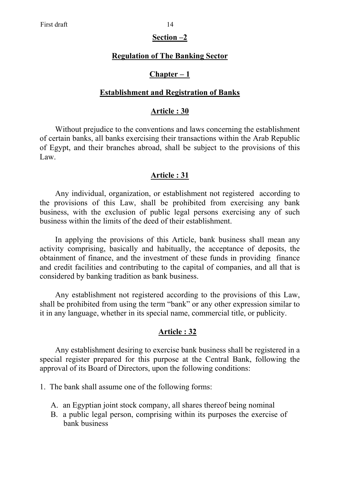# **Section –2**

### **Regulation of The Banking Sector**

### **Chapter – 1**

### **Establishment and Registration of Banks**

#### **Article : 30**

Without prejudice to the conventions and laws concerning the establishment of certain banks, all banks exercising their transactions within the Arab Republic of Egypt, and their branches abroad, shall be subject to the provisions of this Law.

### **Article : 31**

Any individual, organization, or establishment not registered according to the provisions of this Law, shall be prohibited from exercising any bank business, with the exclusion of public legal persons exercising any of such business within the limits of the deed of their establishment.

In applying the provisions of this Article, bank business shall mean any activity comprising, basically and habitually, the acceptance of deposits, the obtainment of finance, and the investment of these funds in providing finance and credit facilities and contributing to the capital of companies, and all that is considered by banking tradition as bank business.

Any establishment not registered according to the provisions of this Law, shall be prohibited from using the term "bank" or any other expression similar to it in any language, whether in its special name, commercial title, or publicity.

### **Article : 32**

Any establishment desiring to exercise bank business shall be registered in a special register prepared for this purpose at the Central Bank, following the approval of its Board of Directors, upon the following conditions:

- 1. The bank shall assume one of the following forms:
	- A. an Egyptian joint stock company, all shares thereof being nominal
	- B. a public legal person, comprising within its purposes the exercise of bank business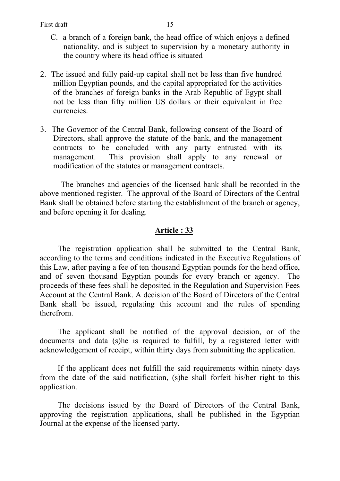- C. a branch of a foreign bank, the head office of which enjoys a defined nationality, and is subject to supervision by a monetary authority in the country where its head office is situated
- 2. The issued and fully paid-up capital shall not be less than five hundred million Egyptian pounds, and the capital appropriated for the activities of the branches of foreign banks in the Arab Republic of Egypt shall not be less than fifty million US dollars or their equivalent in free currencies.
- 3. The Governor of the Central Bank, following consent of the Board of Directors, shall approve the statute of the bank, and the management contracts to be concluded with any party entrusted with its management. This provision shall apply to any renewal or modification of the statutes or management contracts.

 The branches and agencies of the licensed bank shall be recorded in the above mentioned register. The approval of the Board of Directors of the Central Bank shall be obtained before starting the establishment of the branch or agency, and before opening it for dealing.

## **Article : 33**

The registration application shall be submitted to the Central Bank, according to the terms and conditions indicated in the Executive Regulations of this Law, after paying a fee of ten thousand Egyptian pounds for the head office, and of seven thousand Egyptian pounds for every branch or agency. The proceeds of these fees shall be deposited in the Regulation and Supervision Fees Account at the Central Bank. A decision of the Board of Directors of the Central Bank shall be issued, regulating this account and the rules of spending therefrom.

The applicant shall be notified of the approval decision, or of the documents and data (s)he is required to fulfill, by a registered letter with acknowledgement of receipt, within thirty days from submitting the application.

If the applicant does not fulfill the said requirements within ninety days from the date of the said notification, (s)he shall forfeit his/her right to this application.

The decisions issued by the Board of Directors of the Central Bank, approving the registration applications, shall be published in the Egyptian Journal at the expense of the licensed party.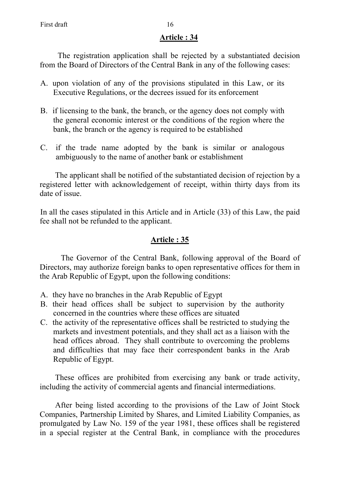The registration application shall be rejected by a substantiated decision from the Board of Directors of the Central Bank in any of the following cases:

- A. upon violation of any of the provisions stipulated in this Law, or its Executive Regulations, or the decrees issued for its enforcement
- B. if licensing to the bank, the branch, or the agency does not comply with the general economic interest or the conditions of the region where the bank, the branch or the agency is required to be established
- C. if the trade name adopted by the bank is similar or analogous ambiguously to the name of another bank or establishment

The applicant shall be notified of the substantiated decision of rejection by a registered letter with acknowledgement of receipt, within thirty days from its date of issue.

 In all the cases stipulated in this Article and in Article (33) of this Law, the paid fee shall not be refunded to the applicant.

# **Article : 35**

 The Governor of the Central Bank, following approval of the Board of Directors, may authorize foreign banks to open representative offices for them in the Arab Republic of Egypt, upon the following conditions:

- A. they have no branches in the Arab Republic of Egypt
- B. their head offices shall be subject to supervision by the authority concerned in the countries where these offices are situated
- C. the activity of the representative offices shall be restricted to studying the markets and investment potentials, and they shall act as a liaison with the head offices abroad. They shall contribute to overcoming the problems and difficulties that may face their correspondent banks in the Arab Republic of Egypt.

These offices are prohibited from exercising any bank or trade activity, including the activity of commercial agents and financial intermediations.

After being listed according to the provisions of the Law of Joint Stock Companies, Partnership Limited by Shares, and Limited Liability Companies, as promulgated by Law No. 159 of the year 1981, these offices shall be registered in a special register at the Central Bank, in compliance with the procedures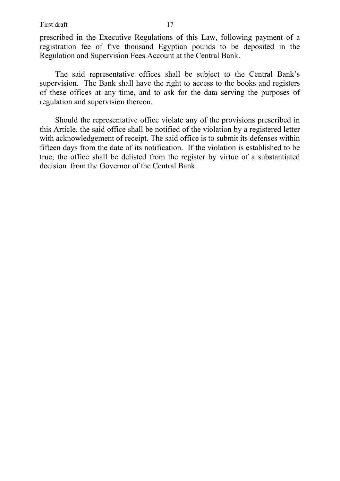First draft 17

prescribed in the Executive Regulations of this Law, following payment of a registration fee of five thousand Egyptian pounds to be deposited in the Regulation and Supervision Fees Account at the Central Bank.

The said representative offices shall be subject to the Central Bank's supervision. The Bank shall have the right to access to the books and registers of these offices at any time, and to ask for the data serving the purposes of regulation and supervision thereon.

Should the representative office violate any of the provisions prescribed in this Article, the said office shall be notified of the violation by a registered letter with acknowledgement of receipt. The said office is to submit its defenses within fifteen days from the date of its notification. If the violation is established to be true, the office shall be delisted from the register by virtue of a substantiated decision from the Governor of the Central Bank.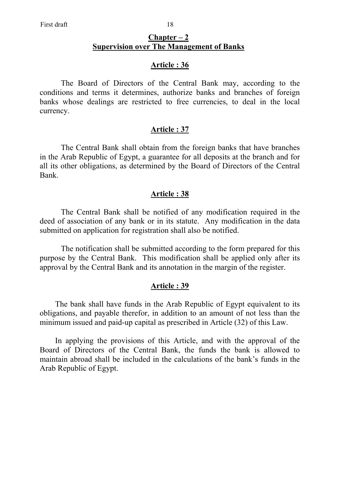## **Chapter – 2 Supervision over The Management of Banks**

### **Article : 36**

 The Board of Directors of the Central Bank may, according to the conditions and terms it determines, authorize banks and branches of foreign banks whose dealings are restricted to free currencies, to deal in the local currency.

### **Article : 37**

 The Central Bank shall obtain from the foreign banks that have branches in the Arab Republic of Egypt, a guarantee for all deposits at the branch and for all its other obligations, as determined by the Board of Directors of the Central Bank.

## **Article : 38**

 The Central Bank shall be notified of any modification required in the deed of association of any bank or in its statute. Any modification in the data submitted on application for registration shall also be notified.

 The notification shall be submitted according to the form prepared for this purpose by the Central Bank. This modification shall be applied only after its approval by the Central Bank and its annotation in the margin of the register.

### **Article : 39**

The bank shall have funds in the Arab Republic of Egypt equivalent to its obligations, and payable therefor, in addition to an amount of not less than the minimum issued and paid-up capital as prescribed in Article (32) of this Law.

In applying the provisions of this Article, and with the approval of the Board of Directors of the Central Bank, the funds the bank is allowed to maintain abroad shall be included in the calculations of the bank's funds in the Arab Republic of Egypt.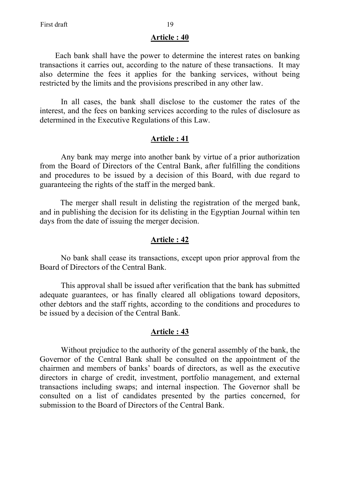Each bank shall have the power to determine the interest rates on banking transactions it carries out, according to the nature of these transactions. It may also determine the fees it applies for the banking services, without being restricted by the limits and the provisions prescribed in any other law.

 In all cases, the bank shall disclose to the customer the rates of the interest, and the fees on banking services according to the rules of disclosure as determined in the Executive Regulations of this Law.

## **Article : 41**

 Any bank may merge into another bank by virtue of a prior authorization from the Board of Directors of the Central Bank, after fulfilling the conditions and procedures to be issued by a decision of this Board, with due regard to guaranteeing the rights of the staff in the merged bank.

The merger shall result in delisting the registration of the merged bank, and in publishing the decision for its delisting in the Egyptian Journal within ten days from the date of issuing the merger decision.

#### **Article : 42**

 No bank shall cease its transactions, except upon prior approval from the Board of Directors of the Central Bank.

 This approval shall be issued after verification that the bank has submitted adequate guarantees, or has finally cleared all obligations toward depositors, other debtors and the staff rights, according to the conditions and procedures to be issued by a decision of the Central Bank.

### **Article : 43**

 Without prejudice to the authority of the general assembly of the bank, the Governor of the Central Bank shall be consulted on the appointment of the chairmen and members of banks' boards of directors, as well as the executive directors in charge of credit, investment, portfolio management, and external transactions including swaps; and internal inspection. The Governor shall be consulted on a list of candidates presented by the parties concerned, for submission to the Board of Directors of the Central Bank.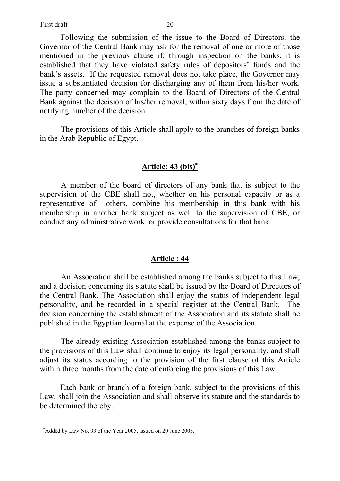First draft 20

 Following the submission of the issue to the Board of Directors, the Governor of the Central Bank may ask for the removal of one or more of those mentioned in the previous clause if, through inspection on the banks, it is established that they have violated safety rules of depositors' funds and the bank's assets. If the requested removal does not take place, the Governor may issue a substantiated decision for discharging any of them from his/her work. The party concerned may complain to the Board of Directors of the Central Bank against the decision of his/her removal, within sixty days from the date of notifying him/her of the decision.

 The provisions of this Article shall apply to the branches of foreign banks in the Arab Republic of Egypt.

## **Article: 43 (bis)**<sup>∗</sup>

A member of the board of directors of any bank that is subject to the supervision of the CBE shall not, whether on his personal capacity or as a representative of others, combine his membership in this bank with his membership in another bank subject as well to the supervision of CBE, or conduct any administrative work or provide consultations for that bank.

#### **Article : 44**

 An Association shall be established among the banks subject to this Law, and a decision concerning its statute shall be issued by the Board of Directors of the Central Bank. The Association shall enjoy the status of independent legal personality, and be recorded in a special register at the Central Bank. The decision concerning the establishment of the Association and its statute shall be published in the Egyptian Journal at the expense of the Association.

 The already existing Association established among the banks subject to the provisions of this Law shall continue to enjoy its legal personality, and shall adjust its status according to the provision of the first clause of this Article within three months from the date of enforcing the provisions of this Law.

Each bank or branch of a foreign bank, subject to the provisions of this Law, shall join the Association and shall observe its statute and the standards to be determined thereby.

<sup>∗</sup> Added by Law No. 93 of the Year 2005, issued on 20 June 2005.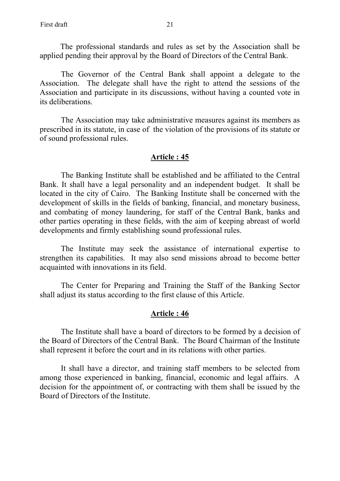The professional standards and rules as set by the Association shall be applied pending their approval by the Board of Directors of the Central Bank.

 The Governor of the Central Bank shall appoint a delegate to the Association. The delegate shall have the right to attend the sessions of the Association and participate in its discussions, without having a counted vote in its deliberations.

 The Association may take administrative measures against its members as prescribed in its statute, in case of the violation of the provisions of its statute or of sound professional rules.

### **Article : 45**

 The Banking Institute shall be established and be affiliated to the Central Bank. It shall have a legal personality and an independent budget. It shall be located in the city of Cairo. The Banking Institute shall be concerned with the development of skills in the fields of banking, financial, and monetary business, and combating of money laundering, for staff of the Central Bank, banks and other parties operating in these fields, with the aim of keeping abreast of world developments and firmly establishing sound professional rules.

 The Institute may seek the assistance of international expertise to strengthen its capabilities. It may also send missions abroad to become better acquainted with innovations in its field.

 The Center for Preparing and Training the Staff of the Banking Sector shall adjust its status according to the first clause of this Article.

#### **Article : 46**

 The Institute shall have a board of directors to be formed by a decision of the Board of Directors of the Central Bank. The Board Chairman of the Institute shall represent it before the court and in its relations with other parties.

 It shall have a director, and training staff members to be selected from among those experienced in banking, financial, economic and legal affairs. A decision for the appointment of, or contracting with them shall be issued by the Board of Directors of the Institute.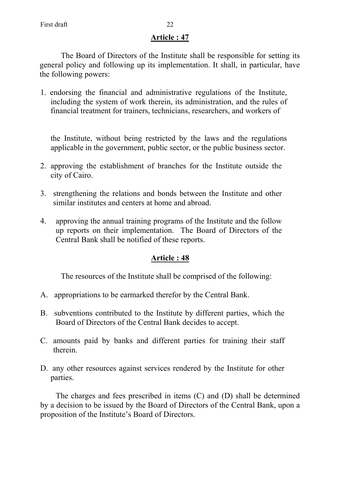The Board of Directors of the Institute shall be responsible for setting its general policy and following up its implementation. It shall, in particular, have the following powers:

1. endorsing the financial and administrative regulations of the Institute, including the system of work therein, its administration, and the rules of financial treatment for trainers, technicians, researchers, and workers of

the Institute, without being restricted by the laws and the regulations applicable in the government, public sector, or the public business sector.

- 2. approving the establishment of branches for the Institute outside the city of Cairo.
- 3. strengthening the relations and bonds between the Institute and other similar institutes and centers at home and abroad.
- 4. approving the annual training programs of the Institute and the follow up reports on their implementation. The Board of Directors of the Central Bank shall be notified of these reports.

# **Article : 48**

The resources of the Institute shall be comprised of the following:

- A. appropriations to be earmarked therefor by the Central Bank.
- B. subventions contributed to the Institute by different parties, which the Board of Directors of the Central Bank decides to accept.
- C. amounts paid by banks and different parties for training their staff therein.
- D. any other resources against services rendered by the Institute for other parties.

The charges and fees prescribed in items (C) and (D) shall be determined by a decision to be issued by the Board of Directors of the Central Bank, upon a proposition of the Institute's Board of Directors.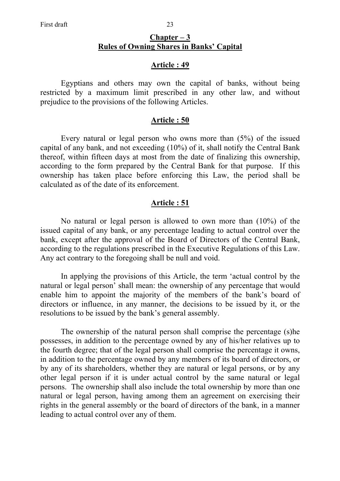Egyptians and others may own the capital of banks, without being restricted by a maximum limit prescribed in any other law, and without prejudice to the provisions of the following Articles.

### **Article : 50**

 Every natural or legal person who owns more than (5%) of the issued capital of any bank, and not exceeding (10%) of it, shall notify the Central Bank thereof, within fifteen days at most from the date of finalizing this ownership, according to the form prepared by the Central Bank for that purpose. If this ownership has taken place before enforcing this Law, the period shall be calculated as of the date of its enforcement.

## **Article : 51**

 No natural or legal person is allowed to own more than (10%) of the issued capital of any bank, or any percentage leading to actual control over the bank, except after the approval of the Board of Directors of the Central Bank, according to the regulations prescribed in the Executive Regulations of this Law. Any act contrary to the foregoing shall be null and void.

 In applying the provisions of this Article, the term 'actual control by the natural or legal person' shall mean: the ownership of any percentage that would enable him to appoint the majority of the members of the bank's board of directors or influence, in any manner, the decisions to be issued by it, or the resolutions to be issued by the bank's general assembly.

 The ownership of the natural person shall comprise the percentage (s)he possesses, in addition to the percentage owned by any of his/her relatives up to the fourth degree; that of the legal person shall comprise the percentage it owns, in addition to the percentage owned by any members of its board of directors, or by any of its shareholders, whether they are natural or legal persons, or by any other legal person if it is under actual control by the same natural or legal persons. The ownership shall also include the total ownership by more than one natural or legal person, having among them an agreement on exercising their rights in the general assembly or the board of directors of the bank, in a manner leading to actual control over any of them.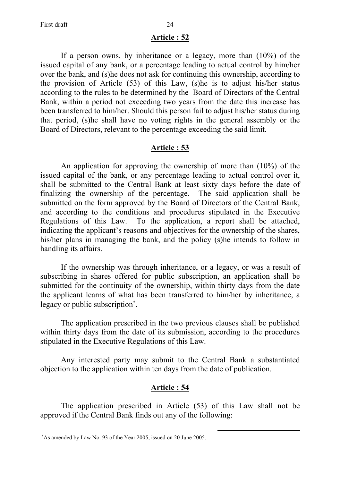If a person owns, by inheritance or a legacy, more than (10%) of the issued capital of any bank, or a percentage leading to actual control by him/her over the bank, and (s)he does not ask for continuing this ownership, according to the provision of Article (53) of this Law, (s)he is to adjust his/her status according to the rules to be determined by the Board of Directors of the Central Bank, within a period not exceeding two years from the date this increase has been transferred to him/her. Should this person fail to adjust his/her status during that period, (s)he shall have no voting rights in the general assembly or the Board of Directors, relevant to the percentage exceeding the said limit.

## **Article : 53**

An application for approving the ownership of more than (10%) of the issued capital of the bank, or any percentage leading to actual control over it, shall be submitted to the Central Bank at least sixty days before the date of finalizing the ownership of the percentage. The said application shall be submitted on the form approved by the Board of Directors of the Central Bank, and according to the conditions and procedures stipulated in the Executive Regulations of this Law. To the application, a report shall be attached, indicating the applicant's reasons and objectives for the ownership of the shares, his/her plans in managing the bank, and the policy (s)he intends to follow in handling its affairs.

If the ownership was through inheritance, or a legacy, or was a result of subscribing in shares offered for public subscription, an application shall be submitted for the continuity of the ownership, within thirty days from the date the applicant learns of what has been transferred to him/her by inheritance, a legacy or public subscription<sup>\*</sup>.

The application prescribed in the two previous clauses shall be published within thirty days from the date of its submission, according to the procedures stipulated in the Executive Regulations of this Law.

Any interested party may submit to the Central Bank a substantiated objection to the application within ten days from the date of publication.

## **Article : 54**

 The application prescribed in Article (53) of this Law shall not be approved if the Central Bank finds out any of the following:

<sup>∗</sup> As amended by Law No. 93 of the Year 2005, issued on 20 June 2005.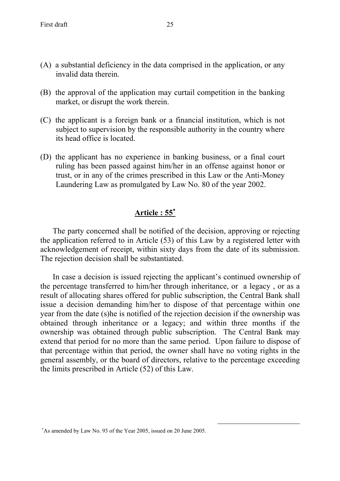- (A) a substantial deficiency in the data comprised in the application, or any invalid data therein.
- (B) the approval of the application may curtail competition in the banking market, or disrupt the work therein.
- (C) the applicant is a foreign bank or a financial institution, which is not subject to supervision by the responsible authority in the country where its head office is located.
- (D) the applicant has no experience in banking business, or a final court ruling has been passed against him/her in an offense against honor or trust, or in any of the crimes prescribed in this Law or the Anti-Money Laundering Law as promulgated by Law No. 80 of the year 2002.

# **Article : 55**<sup>∗</sup>

The party concerned shall be notified of the decision, approving or rejecting the application referred to in Article (53) of this Law by a registered letter with acknowledgement of receipt, within sixty days from the date of its submission. The rejection decision shall be substantiated.

In case a decision is issued rejecting the applicant's continued ownership of the percentage transferred to him/her through inheritance, or a legacy , or as a result of allocating shares offered for public subscription, the Central Bank shall issue a decision demanding him/her to dispose of that percentage within one year from the date (s)he is notified of the rejection decision if the ownership was obtained through inheritance or a legacy; and within three months if the ownership was obtained through public subscription. The Central Bank may extend that period for no more than the same period. Upon failure to dispose of that percentage within that period, the owner shall have no voting rights in the general assembly, or the board of directors, relative to the percentage exceeding the limits prescribed in Article (52) of this Law.

<sup>∗</sup> As amended by Law No. 93 of the Year 2005, issued on 20 June 2005.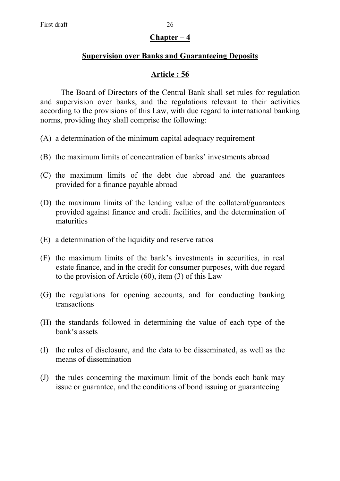## **Chapter – 4**

## **Supervision over Banks and Guaranteeing Deposits**

# **Article : 56**

 The Board of Directors of the Central Bank shall set rules for regulation and supervision over banks, and the regulations relevant to their activities according to the provisions of this Law, with due regard to international banking norms, providing they shall comprise the following:

- (A) a determination of the minimum capital adequacy requirement
- (B) the maximum limits of concentration of banks' investments abroad
- (C) the maximum limits of the debt due abroad and the guarantees provided for a finance payable abroad
- (D) the maximum limits of the lending value of the collateral/guarantees provided against finance and credit facilities, and the determination of maturities
- (E) a determination of the liquidity and reserve ratios
- (F) the maximum limits of the bank's investments in securities, in real estate finance, and in the credit for consumer purposes, with due regard to the provision of Article (60), item (3) of this Law
- (G) the regulations for opening accounts, and for conducting banking transactions
- (H) the standards followed in determining the value of each type of the bank's assets
- (I) the rules of disclosure, and the data to be disseminated, as well as the means of dissemination
- (J) the rules concerning the maximum limit of the bonds each bank may issue or guarantee, and the conditions of bond issuing or guaranteeing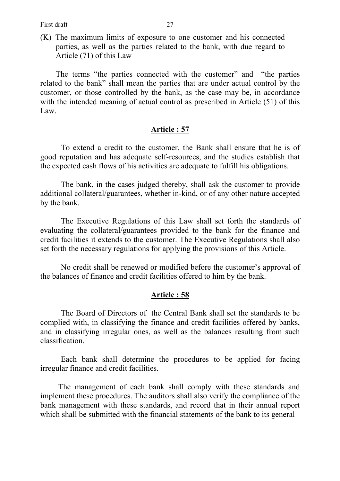(K) The maximum limits of exposure to one customer and his connected parties, as well as the parties related to the bank, with due regard to Article (71) of this Law

The terms "the parties connected with the customer" and "the parties" related to the bank" shall mean the parties that are under actual control by the customer, or those controlled by the bank, as the case may be, in accordance with the intended meaning of actual control as prescribed in Article (51) of this Law.

### **Article : 57**

 To extend a credit to the customer, the Bank shall ensure that he is of good reputation and has adequate self-resources, and the studies establish that the expected cash flows of his activities are adequate to fulfill his obligations.

 The bank, in the cases judged thereby, shall ask the customer to provide additional collateral/guarantees, whether in-kind, or of any other nature accepted by the bank.

The Executive Regulations of this Law shall set forth the standards of evaluating the collateral/guarantees provided to the bank for the finance and credit facilities it extends to the customer. The Executive Regulations shall also set forth the necessary regulations for applying the provisions of this Article.

No credit shall be renewed or modified before the customer's approval of the balances of finance and credit facilities offered to him by the bank.

### **Article : 58**

 The Board of Directors of the Central Bank shall set the standards to be complied with, in classifying the finance and credit facilities offered by banks, and in classifying irregular ones, as well as the balances resulting from such classification.

 Each bank shall determine the procedures to be applied for facing irregular finance and credit facilities.

The management of each bank shall comply with these standards and implement these procedures. The auditors shall also verify the compliance of the bank management with these standards, and record that in their annual report which shall be submitted with the financial statements of the bank to its general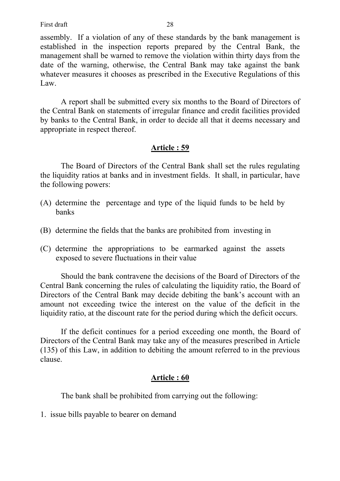assembly. If a violation of any of these standards by the bank management is established in the inspection reports prepared by the Central Bank, the management shall be warned to remove the violation within thirty days from the date of the warning, otherwise, the Central Bank may take against the bank whatever measures it chooses as prescribed in the Executive Regulations of this Law.

 A report shall be submitted every six months to the Board of Directors of the Central Bank on statements of irregular finance and credit facilities provided by banks to the Central Bank, in order to decide all that it deems necessary and appropriate in respect thereof.

## **Article : 59**

 The Board of Directors of the Central Bank shall set the rules regulating the liquidity ratios at banks and in investment fields. It shall, in particular, have the following powers:

- (A) determine the percentage and type of the liquid funds to be held by banks
- (B) determine the fields that the banks are prohibited from investing in
- (C) determine the appropriations to be earmarked against the assets exposed to severe fluctuations in their value

 Should the bank contravene the decisions of the Board of Directors of the Central Bank concerning the rules of calculating the liquidity ratio, the Board of Directors of the Central Bank may decide debiting the bank's account with an amount not exceeding twice the interest on the value of the deficit in the liquidity ratio, at the discount rate for the period during which the deficit occurs.

 If the deficit continues for a period exceeding one month, the Board of Directors of the Central Bank may take any of the measures prescribed in Article (135) of this Law, in addition to debiting the amount referred to in the previous clause.

# **Article : 60**

The bank shall be prohibited from carrying out the following:

1. issue bills payable to bearer on demand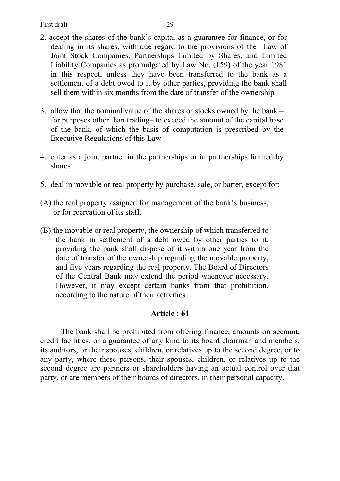- 2. accept the shares of the bank's capital as a guarantee for finance, or for dealing in its shares, with due regard to the provisions of the Law of Joint Stock Companies, Partnerships Limited by Shares, and Limited Liability Companies as promulgated by Law No. (159) of the year 1981 in this respect, unless they have been transferred to the bank as a settlement of a debt owed to it by other parties, providing the bank shall sell them within six months from the date of transfer of the ownership
- 3. allow that the nominal value of the shares or stocks owned by the bank for purposes other than trading– to exceed the amount of the capital base of the bank, of which the basis of computation is prescribed by the Executive Regulations of this Law
- 4. enter as a joint partner in the partnerships or in partnerships limited by shares
- 5. deal in movable or real property by purchase, sale, or barter, except for:
- (A) the real property assigned for management of the bank's business, or for recreation of its staff.
- (B) the movable or real property, the ownership of which transferred to the bank in settlement of a debt owed by other parties to it, providing the bank shall dispose of it within one year from the date of transfer of the ownership regarding the movable property, and five years regarding the real property. The Board of Directors of the Central Bank may extend the period whenever necessary. However, it may except certain banks from that prohibition, according to the nature of their activities

 The bank shall be prohibited from offering finance, amounts on account, credit facilities, or a guarantee of any kind to its board chairman and members, its auditors, or their spouses, children, or relatives up to the second degree, or to any party, where these persons, their spouses, children, or relatives up to the second degree are partners or shareholders having an actual control over that party, or are members of their boards of directors, in their personal capacity.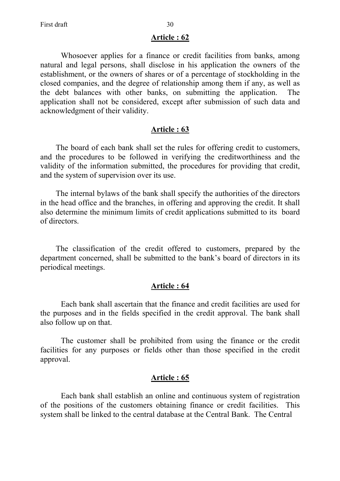Whosoever applies for a finance or credit facilities from banks, among natural and legal persons, shall disclose in his application the owners of the establishment, or the owners of shares or of a percentage of stockholding in the closed companies, and the degree of relationship among them if any, as well as the debt balances with other banks, on submitting the application. The application shall not be considered, except after submission of such data and acknowledgment of their validity.

### **Article : 63**

The board of each bank shall set the rules for offering credit to customers, and the procedures to be followed in verifying the creditworthiness and the validity of the information submitted, the procedures for providing that credit, and the system of supervision over its use.

The internal bylaws of the bank shall specify the authorities of the directors in the head office and the branches, in offering and approving the credit. It shall also determine the minimum limits of credit applications submitted to its board of directors.

The classification of the credit offered to customers, prepared by the department concerned, shall be submitted to the bank's board of directors in its periodical meetings.

### **Article : 64**

 Each bank shall ascertain that the finance and credit facilities are used for the purposes and in the fields specified in the credit approval. The bank shall also follow up on that.

The customer shall be prohibited from using the finance or the credit facilities for any purposes or fields other than those specified in the credit approval.

### **Article : 65**

 Each bank shall establish an online and continuous system of registration of the positions of the customers obtaining finance or credit facilities. This system shall be linked to the central database at the Central Bank. The Central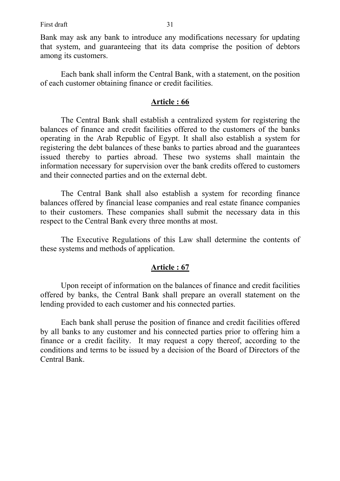First draft 31

Bank may ask any bank to introduce any modifications necessary for updating that system, and guaranteeing that its data comprise the position of debtors among its customers.

 Each bank shall inform the Central Bank, with a statement, on the position of each customer obtaining finance or credit facilities.

## **Article : 66**

 The Central Bank shall establish a centralized system for registering the balances of finance and credit facilities offered to the customers of the banks operating in the Arab Republic of Egypt. It shall also establish a system for registering the debt balances of these banks to parties abroad and the guarantees issued thereby to parties abroad. These two systems shall maintain the information necessary for supervision over the bank credits offered to customers and their connected parties and on the external debt.

 The Central Bank shall also establish a system for recording finance balances offered by financial lease companies and real estate finance companies to their customers. These companies shall submit the necessary data in this respect to the Central Bank every three months at most.

The Executive Regulations of this Law shall determine the contents of these systems and methods of application.

## **Article : 67**

 Upon receipt of information on the balances of finance and credit facilities offered by banks, the Central Bank shall prepare an overall statement on the lending provided to each customer and his connected parties.

 Each bank shall peruse the position of finance and credit facilities offered by all banks to any customer and his connected parties prior to offering him a finance or a credit facility. It may request a copy thereof, according to the conditions and terms to be issued by a decision of the Board of Directors of the Central Bank.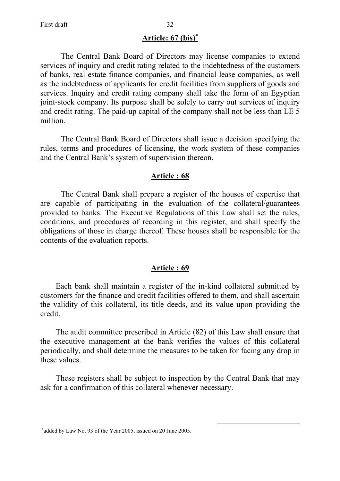## **Article: 67 (bis)**<sup>∗</sup>

The Central Bank Board of Directors may license companies to extend services of inquiry and credit rating related to the indebtedness of the customers of banks, real estate finance companies, and financial lease companies, as well as the indebtedness of applicants for credit facilities from suppliers of goods and services. Inquiry and credit rating company shall take the form of an Egyptian joint-stock company. Its purpose shall be solely to carry out services of inquiry and credit rating. The paid-up capital of the company shall not be less than LE 5 million.

The Central Bank Board of Directors shall issue a decision specifying the rules, terms and procedures of licensing, the work system of these companies and the Central Bank's system of supervision thereon.

### **Article : 68**

 The Central Bank shall prepare a register of the houses of expertise that are capable of participating in the evaluation of the collateral/guarantees provided to banks. The Executive Regulations of this Law shall set the rules, conditions, and procedures of recording in this register, and shall specify the obligations of those in charge thereof. These houses shall be responsible for the contents of the evaluation reports.

### **Article : 69**

Each bank shall maintain a register of the in-kind collateral submitted by customers for the finance and credit facilities offered to them, and shall ascertain the validity of this collateral, its title deeds, and its value upon providing the credit.

The audit committee prescribed in Article (82) of this Law shall ensure that the executive management at the bank verifies the values of this collateral periodically, and shall determine the measures to be taken for facing any drop in these values.

These registers shall be subject to inspection by the Central Bank that may ask for a confirmation of this collateral whenever necessary.

<sup>∗</sup> added by Law No. 93 of the Year 2005, issued on 20 June 2005.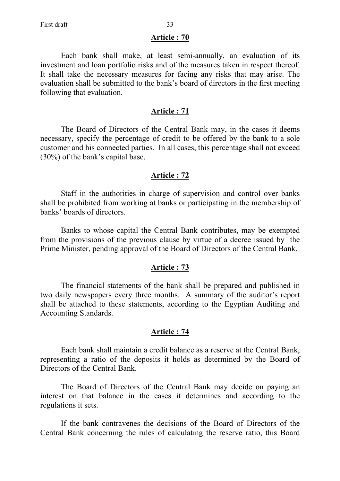Each bank shall make, at least semi-annually, an evaluation of its investment and loan portfolio risks and of the measures taken in respect thereof. It shall take the necessary measures for facing any risks that may arise. The evaluation shall be submitted to the bank's board of directors in the first meeting following that evaluation.

#### **Article : 71**

 The Board of Directors of the Central Bank may, in the cases it deems necessary, specify the percentage of credit to be offered by the bank to a sole customer and his connected parties. In all cases, this percentage shall not exceed (30%) of the bank's capital base.

#### **Article : 72**

 Staff in the authorities in charge of supervision and control over banks shall be prohibited from working at banks or participating in the membership of banks' boards of directors.

 Banks to whose capital the Central Bank contributes, may be exempted from the provisions of the previous clause by virtue of a decree issued by the Prime Minister, pending approval of the Board of Directors of the Central Bank.

### **Article : 73**

 The financial statements of the bank shall be prepared and published in two daily newspapers every three months. A summary of the auditor's report shall be attached to these statements, according to the Egyptian Auditing and Accounting Standards.

## **Article : 74**

 Each bank shall maintain a credit balance as a reserve at the Central Bank, representing a ratio of the deposits it holds as determined by the Board of Directors of the Central Bank.

 The Board of Directors of the Central Bank may decide on paying an interest on that balance in the cases it determines and according to the regulations it sets.

 If the bank contravenes the decisions of the Board of Directors of the Central Bank concerning the rules of calculating the reserve ratio, this Board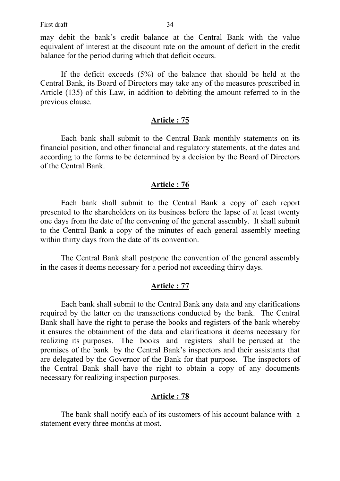may debit the bank's credit balance at the Central Bank with the value equivalent of interest at the discount rate on the amount of deficit in the credit balance for the period during which that deficit occurs.

 If the deficit exceeds (5%) of the balance that should be held at the Central Bank, its Board of Directors may take any of the measures prescribed in Article (135) of this Law, in addition to debiting the amount referred to in the previous clause.

### **Article : 75**

 Each bank shall submit to the Central Bank monthly statements on its financial position, and other financial and regulatory statements, at the dates and according to the forms to be determined by a decision by the Board of Directors of the Central Bank.

## **Article : 76**

 Each bank shall submit to the Central Bank a copy of each report presented to the shareholders on its business before the lapse of at least twenty one days from the date of the convening of the general assembly. It shall submit to the Central Bank a copy of the minutes of each general assembly meeting within thirty days from the date of its convention.

 The Central Bank shall postpone the convention of the general assembly in the cases it deems necessary for a period not exceeding thirty days.

### **Article : 77**

 Each bank shall submit to the Central Bank any data and any clarifications required by the latter on the transactions conducted by the bank. The Central Bank shall have the right to peruse the books and registers of the bank whereby it ensures the obtainment of the data and clarifications it deems necessary for realizing its purposes. The books and registers shall be perused at the premises of the bank by the Central Bank's inspectors and their assistants that are delegated by the Governor of the Bank for that purpose. The inspectors of the Central Bank shall have the right to obtain a copy of any documents necessary for realizing inspection purposes.

#### **Article : 78**

 The bank shall notify each of its customers of his account balance with a statement every three months at most.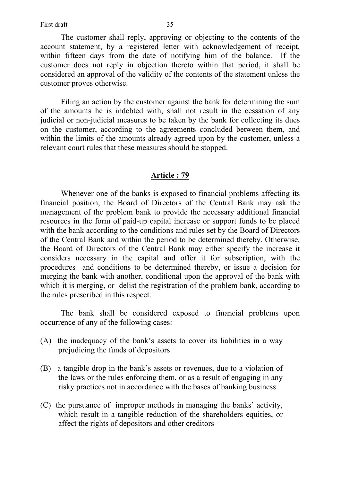The customer shall reply, approving or objecting to the contents of the account statement, by a registered letter with acknowledgement of receipt, within fifteen days from the date of notifying him of the balance. If the customer does not reply in objection thereto within that period, it shall be considered an approval of the validity of the contents of the statement unless the customer proves otherwise.

 Filing an action by the customer against the bank for determining the sum of the amounts he is indebted with, shall not result in the cessation of any judicial or non-judicial measures to be taken by the bank for collecting its dues on the customer, according to the agreements concluded between them, and within the limits of the amounts already agreed upon by the customer, unless a relevant court rules that these measures should be stopped.

### **Article : 79**

 Whenever one of the banks is exposed to financial problems affecting its financial position, the Board of Directors of the Central Bank may ask the management of the problem bank to provide the necessary additional financial resources in the form of paid-up capital increase or support funds to be placed with the bank according to the conditions and rules set by the Board of Directors of the Central Bank and within the period to be determined thereby. Otherwise, the Board of Directors of the Central Bank may either specify the increase it considers necessary in the capital and offer it for subscription, with the procedures and conditions to be determined thereby, or issue a decision for merging the bank with another, conditional upon the approval of the bank with which it is merging, or delist the registration of the problem bank, according to the rules prescribed in this respect.

 The bank shall be considered exposed to financial problems upon occurrence of any of the following cases:

- (A) the inadequacy of the bank's assets to cover its liabilities in a way prejudicing the funds of depositors
- (B) a tangible drop in the bank's assets or revenues, due to a violation of the laws or the rules enforcing them, or as a result of engaging in any risky practices not in accordance with the bases of banking business
- (C) the pursuance of improper methods in managing the banks' activity, which result in a tangible reduction of the shareholders equities, or affect the rights of depositors and other creditors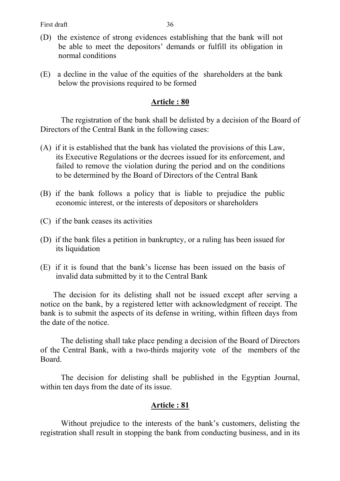- (D) the existence of strong evidences establishing that the bank will not be able to meet the depositors' demands or fulfill its obligation in normal conditions
- (E) a decline in the value of the equities of the shareholders at the bank below the provisions required to be formed

 The registration of the bank shall be delisted by a decision of the Board of Directors of the Central Bank in the following cases:

- (A) if it is established that the bank has violated the provisions of this Law, its Executive Regulations or the decrees issued for its enforcement, and failed to remove the violation during the period and on the conditions to be determined by the Board of Directors of the Central Bank
- (B) if the bank follows a policy that is liable to prejudice the public economic interest, or the interests of depositors or shareholders
- (C) if the bank ceases its activities
- (D) if the bank files a petition in bankruptcy, or a ruling has been issued for its liquidation
- (E) if it is found that the bank's license has been issued on the basis of invalid data submitted by it to the Central Bank

The decision for its delisting shall not be issued except after serving a notice on the bank, by a registered letter with acknowledgment of receipt. The bank is to submit the aspects of its defense in writing, within fifteen days from the date of the notice.

 The delisting shall take place pending a decision of the Board of Directors of the Central Bank, with a two-thirds majority vote of the members of the Board.

 The decision for delisting shall be published in the Egyptian Journal, within ten days from the date of its issue.

### **Article : 81**

Without prejudice to the interests of the bank's customers, delisting the registration shall result in stopping the bank from conducting business, and in its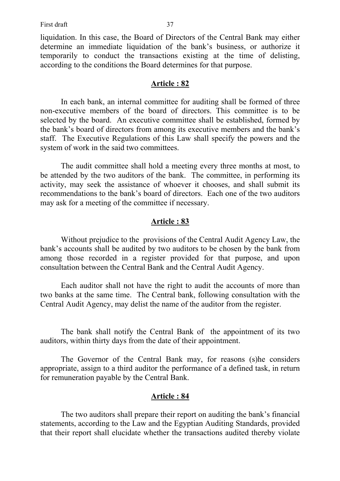liquidation. In this case, the Board of Directors of the Central Bank may either determine an immediate liquidation of the bank's business, or authorize it temporarily to conduct the transactions existing at the time of delisting, according to the conditions the Board determines for that purpose.

### **Article : 82**

 In each bank, an internal committee for auditing shall be formed of three non-executive members of the board of directors. This committee is to be selected by the board. An executive committee shall be established, formed by the bank's board of directors from among its executive members and the bank's staff. The Executive Regulations of this Law shall specify the powers and the system of work in the said two committees.

 The audit committee shall hold a meeting every three months at most, to be attended by the two auditors of the bank. The committee, in performing its activity, may seek the assistance of whoever it chooses, and shall submit its recommendations to the bank's board of directors. Each one of the two auditors may ask for a meeting of the committee if necessary.

### **Article : 83**

 Without prejudice to the provisions of the Central Audit Agency Law, the bank's accounts shall be audited by two auditors to be chosen by the bank from among those recorded in a register provided for that purpose, and upon consultation between the Central Bank and the Central Audit Agency.

 Each auditor shall not have the right to audit the accounts of more than two banks at the same time. The Central bank, following consultation with the Central Audit Agency, may delist the name of the auditor from the register.

The bank shall notify the Central Bank of the appointment of its two auditors, within thirty days from the date of their appointment.

 The Governor of the Central Bank may, for reasons (s)he considers appropriate, assign to a third auditor the performance of a defined task, in return for remuneration payable by the Central Bank.

#### **Article : 84**

 The two auditors shall prepare their report on auditing the bank's financial statements, according to the Law and the Egyptian Auditing Standards, provided that their report shall elucidate whether the transactions audited thereby violate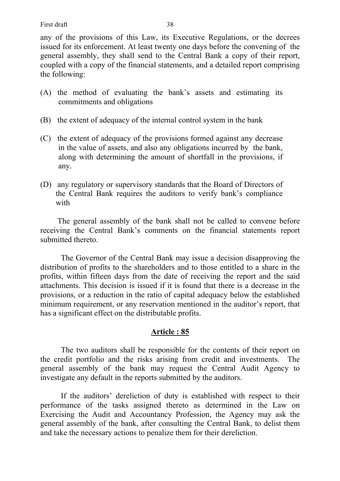any of the provisions of this Law, its Executive Regulations, or the decrees issued for its enforcement. At least twenty one days before the convening of the general assembly, they shall send to the Central Bank a copy of their report, coupled with a copy of the financial statements, and a detailed report comprising the following:

- (A) the method of evaluating the bank's assets and estimating its commitments and obligations
- (B) the extent of adequacy of the internal control system in the bank
- (C) the extent of adequacy of the provisions formed against any decrease in the value of assets, and also any obligations incurred by the bank, along with determining the amount of shortfall in the provisions, if any.
- (D) any regulatory or supervisory standards that the Board of Directors of the Central Bank requires the auditors to verify bank's compliance with

The general assembly of the bank shall not be called to convene before receiving the Central Bank's comments on the financial statements report submitted thereto.

 The Governor of the Central Bank may issue a decision disapproving the distribution of profits to the shareholders and to those entitled to a share in the profits, within fifteen days from the date of receiving the report and the said attachments. This decision is issued if it is found that there is a decrease in the provisions, or a reduction in the ratio of capital adequacy below the established minimum requirement, or any reservation mentioned in the auditor's report, that has a significant effect on the distributable profits.

## **Article : 85**

 The two auditors shall be responsible for the contents of their report on the credit portfolio and the risks arising from credit and investments. The general assembly of the bank may request the Central Audit Agency to investigate any default in the reports submitted by the auditors.

 If the auditors' dereliction of duty is established with respect to their performance of the tasks assigned thereto as determined in the Law on Exercising the Audit and Accountancy Profession, the Agency may ask the general assembly of the bank, after consulting the Central Bank, to delist them and take the necessary actions to penalize them for their dereliction.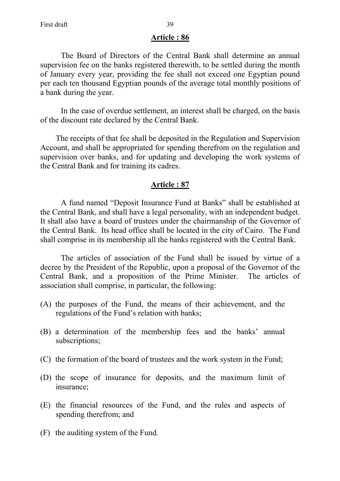The Board of Directors of the Central Bank shall determine an annual supervision fee on the banks registered therewith, to be settled during the month of January every year, providing the fee shall not exceed one Egyptian pound per each ten thousand Egyptian pounds of the average total monthly positions of a bank during the year.

 In the case of overdue settlement, an interest shall be charged, on the basis of the discount rate declared by the Central Bank.

The receipts of that fee shall be deposited in the Regulation and Supervision Account, and shall be appropriated for spending therefrom on the regulation and supervision over banks, and for updating and developing the work systems of the Central Bank and for training its cadres.

## **Article : 87**

 A fund named "Deposit Insurance Fund at Banks" shall be established at the Central Bank, and shall have a legal personality, with an independent budget. It shall also have a board of trustees under the chairmanship of the Governor of the Central Bank. Its head office shall be located in the city of Cairo. The Fund shall comprise in its membership all the banks registered with the Central Bank.

 The articles of association of the Fund shall be issued by virtue of a decree by the President of the Republic, upon a proposal of the Governor of the Central Bank, and a proposition of the Prime Minister. The articles of association shall comprise, in particular, the following:

- (A) the purposes of the Fund, the means of their achievement, and the regulations of the Fund's relation with banks;
- (B) a determination of the membership fees and the banks' annual subscriptions;
- (C) the formation of the board of trustees and the work system in the Fund;
- (D) the scope of insurance for deposits, and the maximum limit of insurance;
- (E) the financial resources of the Fund, and the rules and aspects of spending therefrom; and
- (F) the auditing system of the Fund.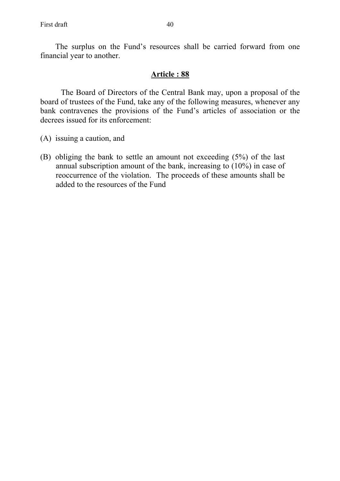The surplus on the Fund's resources shall be carried forward from one financial year to another.

### **Article : 88**

 The Board of Directors of the Central Bank may, upon a proposal of the board of trustees of the Fund, take any of the following measures, whenever any bank contravenes the provisions of the Fund's articles of association or the decrees issued for its enforcement:

- (A) issuing a caution, and
- (B) obliging the bank to settle an amount not exceeding (5%) of the last annual subscription amount of the bank, increasing to (10%) in case of reoccurrence of the violation. The proceeds of these amounts shall be added to the resources of the Fund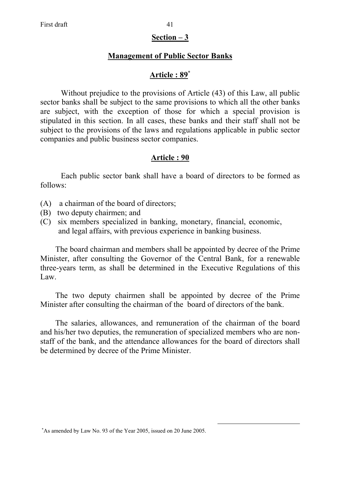### **Section – 3**

## **Management of Public Sector Banks**

## **Article : 89**<sup>∗</sup>

 Without prejudice to the provisions of Article (43) of this Law, all public sector banks shall be subject to the same provisions to which all the other banks are subject, with the exception of those for which a special provision is stipulated in this section. In all cases, these banks and their staff shall not be subject to the provisions of the laws and regulations applicable in public sector companies and public business sector companies.

## **Article : 90**

Each public sector bank shall have a board of directors to be formed as follows:

- (A) a chairman of the board of directors;
- (B) two deputy chairmen; and
- (C) six members specialized in banking, monetary, financial, economic, and legal affairs, with previous experience in banking business.

The board chairman and members shall be appointed by decree of the Prime Minister, after consulting the Governor of the Central Bank, for a renewable three-years term, as shall be determined in the Executive Regulations of this Law.

The two deputy chairmen shall be appointed by decree of the Prime Minister after consulting the chairman of the board of directors of the bank.

The salaries, allowances, and remuneration of the chairman of the board and his/her two deputies, the remuneration of specialized members who are nonstaff of the bank, and the attendance allowances for the board of directors shall be determined by decree of the Prime Minister.

<sup>∗</sup> As amended by Law No. 93 of the Year 2005, issued on 20 June 2005.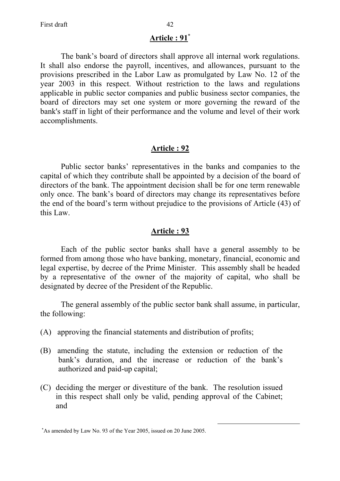## **Article : 91**<sup>∗</sup>

 The bank's board of directors shall approve all internal work regulations. It shall also endorse the payroll, incentives, and allowances, pursuant to the provisions prescribed in the Labor Law as promulgated by Law No. 12 of the year 2003 in this respect. Without restriction to the laws and regulations applicable in public sector companies and public business sector companies, the board of directors may set one system or more governing the reward of the bank's staff in light of their performance and the volume and level of their work accomplishments.

## **Article : 92**

 Public sector banks' representatives in the banks and companies to the capital of which they contribute shall be appointed by a decision of the board of directors of the bank. The appointment decision shall be for one term renewable only once. The bank's board of directors may change its representatives before the end of the board's term without prejudice to the provisions of Article (43) of this Law.

## **Article : 93**

Each of the public sector banks shall have a general assembly to be formed from among those who have banking, monetary, financial, economic and legal expertise, by decree of the Prime Minister. This assembly shall be headed by a representative of the owner of the majority of capital, who shall be designated by decree of the President of the Republic.

The general assembly of the public sector bank shall assume, in particular, the following:

- (A) approving the financial statements and distribution of profits;
- (B) amending the statute, including the extension or reduction of the bank's duration, and the increase or reduction of the bank's authorized and paid-up capital;
- (C) deciding the merger or divestiture of the bank. The resolution issued in this respect shall only be valid, pending approval of the Cabinet; and

<sup>∗</sup> As amended by Law No. 93 of the Year 2005, issued on 20 June 2005.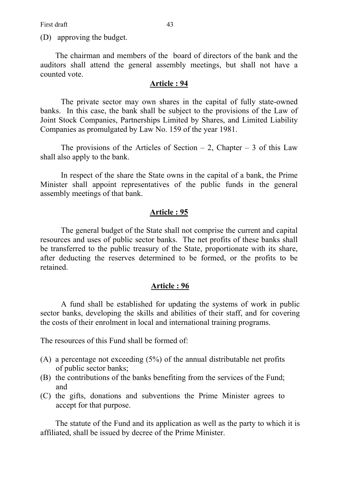First draft 43

(D) approving the budget.

The chairman and members of the board of directors of the bank and the auditors shall attend the general assembly meetings, but shall not have a counted vote.

#### **Article : 94**

 The private sector may own shares in the capital of fully state-owned banks. In this case, the bank shall be subject to the provisions of the Law of Joint Stock Companies, Partnerships Limited by Shares, and Limited Liability Companies as promulgated by Law No. 159 of the year 1981.

The provisions of the Articles of Section  $-2$ , Chapter  $-3$  of this Law shall also apply to the bank.

 In respect of the share the State owns in the capital of a bank, the Prime Minister shall appoint representatives of the public funds in the general assembly meetings of that bank.

#### **Article : 95**

 The general budget of the State shall not comprise the current and capital resources and uses of public sector banks. The net profits of these banks shall be transferred to the public treasury of the State, proportionate with its share, after deducting the reserves determined to be formed, or the profits to be retained.

### **Article : 96**

 A fund shall be established for updating the systems of work in public sector banks, developing the skills and abilities of their staff, and for covering the costs of their enrolment in local and international training programs.

The resources of this Fund shall be formed of:

- (A) a percentage not exceeding (5%) of the annual distributable net profits of public sector banks;
- (B) the contributions of the banks benefiting from the services of the Fund; and
- (C) the gifts, donations and subventions the Prime Minister agrees to accept for that purpose.

The statute of the Fund and its application as well as the party to which it is affiliated, shall be issued by decree of the Prime Minister.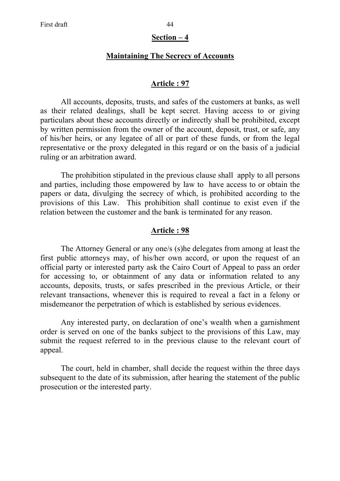#### **Section – 4**

## **Maintaining The Secrecy of Accounts**

#### **Article : 97**

All accounts, deposits, trusts, and safes of the customers at banks, as well as their related dealings, shall be kept secret. Having access to or giving particulars about these accounts directly or indirectly shall be prohibited, except by written permission from the owner of the account, deposit, trust, or safe, any of his/her heirs, or any legatee of all or part of these funds, or from the legal representative or the proxy delegated in this regard or on the basis of a judicial ruling or an arbitration award.

The prohibition stipulated in the previous clause shall apply to all persons and parties, including those empowered by law to have access to or obtain the papers or data, divulging the secrecy of which, is prohibited according to the provisions of this Law. This prohibition shall continue to exist even if the relation between the customer and the bank is terminated for any reason.

### **Article : 98**

 The Attorney General or any one/s (s)he delegates from among at least the first public attorneys may, of his/her own accord, or upon the request of an official party or interested party ask the Cairo Court of Appeal to pass an order for accessing to, or obtainment of any data or information related to any accounts, deposits, trusts, or safes prescribed in the previous Article, or their relevant transactions, whenever this is required to reveal a fact in a felony or misdemeanor the perpetration of which is established by serious evidences.

 Any interested party, on declaration of one's wealth when a garnishment order is served on one of the banks subject to the provisions of this Law, may submit the request referred to in the previous clause to the relevant court of appeal.

 The court, held in chamber, shall decide the request within the three days subsequent to the date of its submission, after hearing the statement of the public prosecution or the interested party.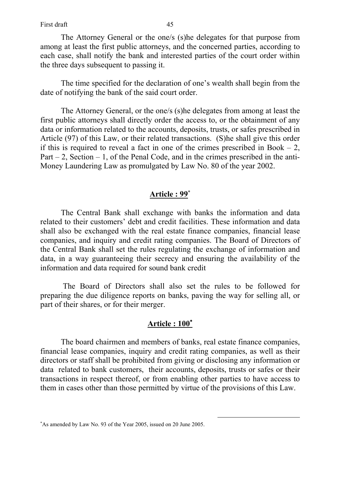The Attorney General or the one/s (s)he delegates for that purpose from among at least the first public attorneys, and the concerned parties, according to each case, shall notify the bank and interested parties of the court order within the three days subsequent to passing it.

 The time specified for the declaration of one's wealth shall begin from the date of notifying the bank of the said court order.

 The Attorney General, or the one/s (s)he delegates from among at least the first public attorneys shall directly order the access to, or the obtainment of any data or information related to the accounts, deposits, trusts, or safes prescribed in Article (97) of this Law, or their related transactions. (S)he shall give this order if this is required to reveal a fact in one of the crimes prescribed in Book  $-2$ , Part  $-2$ , Section  $-1$ , of the Penal Code, and in the crimes prescribed in the anti-Money Laundering Law as promulgated by Law No. 80 of the year 2002.

## **Article : 99**<sup>∗</sup>

 The Central Bank shall exchange with banks the information and data related to their customers' debt and credit facilities. These information and data shall also be exchanged with the real estate finance companies, financial lease companies, and inquiry and credit rating companies. The Board of Directors of the Central Bank shall set the rules regulating the exchange of information and data, in a way guaranteeing their secrecy and ensuring the availability of the information and data required for sound bank credit

 The Board of Directors shall also set the rules to be followed for preparing the due diligence reports on banks, paving the way for selling all, or part of their shares, or for their merger.

# **Article : 100**<sup>∗</sup>

 The board chairmen and members of banks, real estate finance companies, financial lease companies, inquiry and credit rating companies, as well as their directors or staff shall be prohibited from giving or disclosing any information or data related to bank customers, their accounts, deposits, trusts or safes or their transactions in respect thereof, or from enabling other parties to have access to them in cases other than those permitted by virtue of the provisions of this Law.

<sup>∗</sup> As amended by Law No. 93 of the Year 2005, issued on 20 June 2005.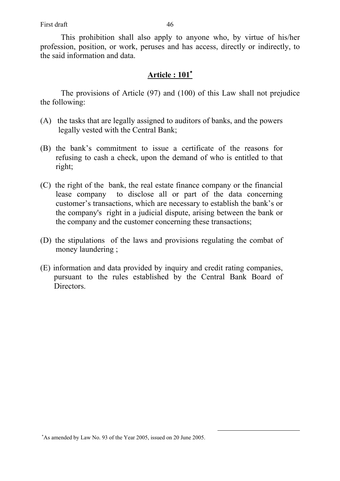First draft 46

 This prohibition shall also apply to anyone who, by virtue of his/her profession, position, or work, peruses and has access, directly or indirectly, to the said information and data.

## **Article : 101**<sup>∗</sup>

 The provisions of Article (97) and (100) of this Law shall not prejudice the following:

- (A) the tasks that are legally assigned to auditors of banks, and the powers legally vested with the Central Bank;
- (B) the bank's commitment to issue a certificate of the reasons for refusing to cash a check, upon the demand of who is entitled to that right;
- (C) the right of the bank, the real estate finance company or the financial lease company to disclose all or part of the data concerning customer's transactions, which are necessary to establish the bank's or the company's right in a judicial dispute, arising between the bank or the company and the customer concerning these transactions;
- (D) the stipulations of the laws and provisions regulating the combat of money laundering ;
- (E) information and data provided by inquiry and credit rating companies, pursuant to the rules established by the Central Bank Board of Directors.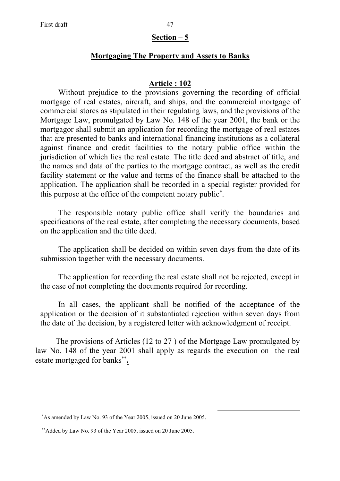#### **Section – 5**

### **Mortgaging The Property and Assets to Banks**

#### **Article : 102**

Without prejudice to the provisions governing the recording of official mortgage of real estates, aircraft, and ships, and the commercial mortgage of commercial stores as stipulated in their regulating laws, and the provisions of the Mortgage Law, promulgated by Law No. 148 of the year 2001, the bank or the mortgagor shall submit an application for recording the mortgage of real estates that are presented to banks and international financing institutions as a collateral against finance and credit facilities to the notary public office within the jurisdiction of which lies the real estate. The title deed and abstract of title, and the names and data of the parties to the mortgage contract, as well as the credit facility statement or the value and terms of the finance shall be attached to the application. The application shall be recorded in a special register provided for this purpose at the office of the competent notary public<sup>\*</sup>.

The responsible notary public office shall verify the boundaries and specifications of the real estate, after completing the necessary documents, based on the application and the title deed.

The application shall be decided on within seven days from the date of its submission together with the necessary documents.

The application for recording the real estate shall not be rejected, except in the case of not completing the documents required for recording.

In all cases, the applicant shall be notified of the acceptance of the application or the decision of it substantiated rejection within seven days from the date of the decision, by a registered letter with acknowledgment of receipt.

The provisions of Articles (12 to 27 ) of the Mortgage Law promulgated by law No. 148 of the year 2001 shall apply as regards the execution on the real estate mortgaged for banks<sup>\*\*</sup>.

<sup>∗</sup> As amended by Law No. 93 of the Year 2005, issued on 20 June 2005.

<sup>∗∗</sup> Added by Law No. 93 of the Year 2005, issued on 20 June 2005.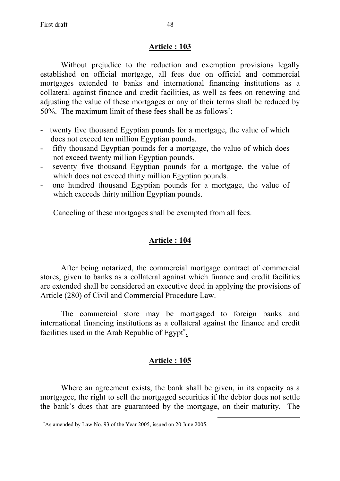Without prejudice to the reduction and exemption provisions legally established on official mortgage, all fees due on official and commercial mortgages extended to banks and international financing institutions as a collateral against finance and credit facilities, as well as fees on renewing and adjusting the value of these mortgages or any of their terms shall be reduced by 50%. The maximum limit of these fees shall be as follows<sup>\*</sup>:

- twenty five thousand Egyptian pounds for a mortgage, the value of which does not exceed ten million Egyptian pounds.
- fifty thousand Egyptian pounds for a mortgage, the value of which does not exceed twenty million Egyptian pounds.
- seventy five thousand Egyptian pounds for a mortgage, the value of which does not exceed thirty million Egyptian pounds.
- one hundred thousand Egyptian pounds for a mortgage, the value of which exceeds thirty million Egyptian pounds.

Canceling of these mortgages shall be exempted from all fees.

# **Article : 104**

 After being notarized, the commercial mortgage contract of commercial stores, given to banks as a collateral against which finance and credit facilities are extended shall be considered an executive deed in applying the provisions of Article (280) of Civil and Commercial Procedure Law.

 The commercial store may be mortgaged to foreign banks and international financing institutions as a collateral against the finance and credit facilities used in the Arab Republic of Egypt<sup>\*</sup>.

# **Article : 105**

 Where an agreement exists, the bank shall be given, in its capacity as a mortgagee, the right to sell the mortgaged securities if the debtor does not settle the bank's dues that are guaranteed by the mortgage, on their maturity. The

<sup>∗</sup> As amended by Law No. 93 of the Year 2005, issued on 20 June 2005.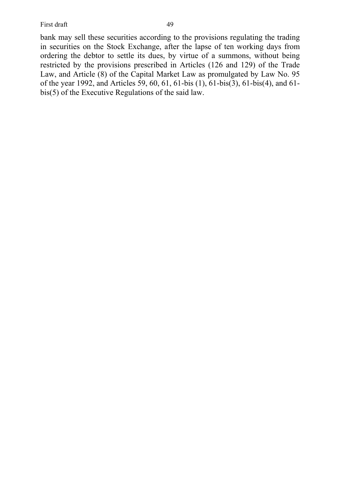First draft 49

bank may sell these securities according to the provisions regulating the trading in securities on the Stock Exchange, after the lapse of ten working days from ordering the debtor to settle its dues, by virtue of a summons, without being restricted by the provisions prescribed in Articles (126 and 129) of the Trade Law, and Article (8) of the Capital Market Law as promulgated by Law No. 95 of the year 1992, and Articles 59, 60, 61, 61-bis (1), 61-bis(3), 61-bis(4), and 61 bis(5) of the Executive Regulations of the said law.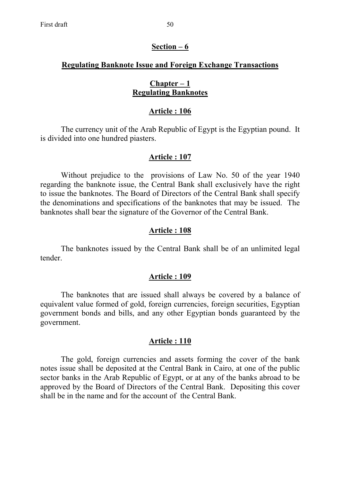### **Regulating Banknote Issue and Foreign Exchange Transactions**

### **Chapter – 1 Regulating Banknotes**

#### **Article : 106**

 The currency unit of the Arab Republic of Egypt is the Egyptian pound. It is divided into one hundred piasters.

### **Article : 107**

Without prejudice to the provisions of Law No. 50 of the year 1940 regarding the banknote issue, the Central Bank shall exclusively have the right to issue the banknotes. The Board of Directors of the Central Bank shall specify the denominations and specifications of the banknotes that may be issued. The banknotes shall bear the signature of the Governor of the Central Bank.

### **Article : 108**

 The banknotes issued by the Central Bank shall be of an unlimited legal tender.

#### **Article : 109**

The banknotes that are issued shall always be covered by a balance of equivalent value formed of gold, foreign currencies, foreign securities, Egyptian government bonds and bills, and any other Egyptian bonds guaranteed by the government.

### **Article : 110**

 The gold, foreign currencies and assets forming the cover of the bank notes issue shall be deposited at the Central Bank in Cairo, at one of the public sector banks in the Arab Republic of Egypt, or at any of the banks abroad to be approved by the Board of Directors of the Central Bank. Depositing this cover shall be in the name and for the account of the Central Bank.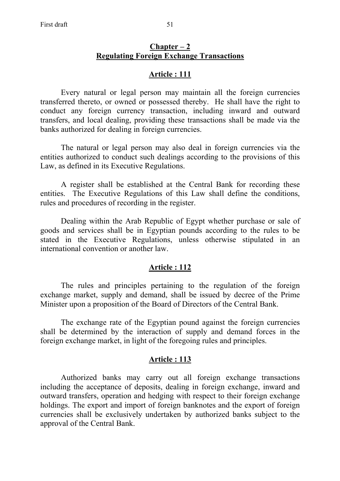### **Chapter – 2 Regulating Foreign Exchange Transactions**

### **Article : 111**

 Every natural or legal person may maintain all the foreign currencies transferred thereto, or owned or possessed thereby. He shall have the right to conduct any foreign currency transaction, including inward and outward transfers, and local dealing, providing these transactions shall be made via the banks authorized for dealing in foreign currencies.

 The natural or legal person may also deal in foreign currencies via the entities authorized to conduct such dealings according to the provisions of this Law, as defined in its Executive Regulations.

 A register shall be established at the Central Bank for recording these entities. The Executive Regulations of this Law shall define the conditions, rules and procedures of recording in the register.

 Dealing within the Arab Republic of Egypt whether purchase or sale of goods and services shall be in Egyptian pounds according to the rules to be stated in the Executive Regulations, unless otherwise stipulated in an international convention or another law.

### **Article : 112**

 The rules and principles pertaining to the regulation of the foreign exchange market, supply and demand, shall be issued by decree of the Prime Minister upon a proposition of the Board of Directors of the Central Bank.

 The exchange rate of the Egyptian pound against the foreign currencies shall be determined by the interaction of supply and demand forces in the foreign exchange market, in light of the foregoing rules and principles.

### **Article : 113**

Authorized banks may carry out all foreign exchange transactions including the acceptance of deposits, dealing in foreign exchange, inward and outward transfers, operation and hedging with respect to their foreign exchange holdings. The export and import of foreign banknotes and the export of foreign currencies shall be exclusively undertaken by authorized banks subject to the approval of the Central Bank.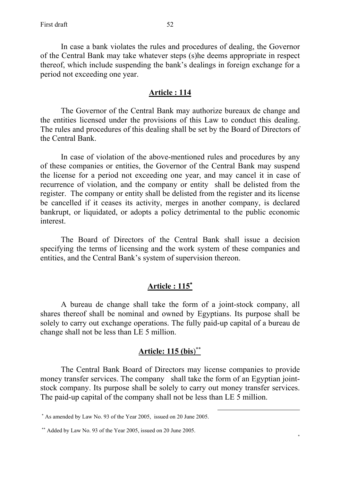In case a bank violates the rules and procedures of dealing, the Governor of the Central Bank may take whatever steps (s)he deems appropriate in respect thereof, which include suspending the bank's dealings in foreign exchange for a period not exceeding one year.

### **Article : 114**

 The Governor of the Central Bank may authorize bureaux de change and the entities licensed under the provisions of this Law to conduct this dealing. The rules and procedures of this dealing shall be set by the Board of Directors of the Central Bank.

 In case of violation of the above-mentioned rules and procedures by any of these companies or entities, the Governor of the Central Bank may suspend the license for a period not exceeding one year, and may cancel it in case of recurrence of violation, and the company or entity shall be delisted from the register. The company or entity shall be delisted from the register and its license be cancelled if it ceases its activity, merges in another company, is declared bankrupt, or liquidated, or adopts a policy detrimental to the public economic interest.

 The Board of Directors of the Central Bank shall issue a decision specifying the terms of licensing and the work system of these companies and entities, and the Central Bank's system of supervision thereon.

# **Article : 115**<sup>∗</sup>

 A bureau de change shall take the form of a joint-stock company, all shares thereof shall be nominal and owned by Egyptians. Its purpose shall be solely to carry out exchange operations. The fully paid-up capital of a bureau de change shall not be less than LE 5 million.

# **Article: 115 (bis**) ∗∗

The Central Bank Board of Directors may license companies to provide money transfer services. The company shall take the form of an Egyptian jointstock company. Its purpose shall be solely to carry out money transfer services. The paid-up capital of the company shall not be less than LE 5 million.

 $\overline{a}$ 

∗

<sup>∗</sup> As amended by Law No. 93 of the Year 2005, issued on 20 June 2005.

<sup>∗∗</sup> Added by Law No. 93 of the Year 2005, issued on 20 June 2005.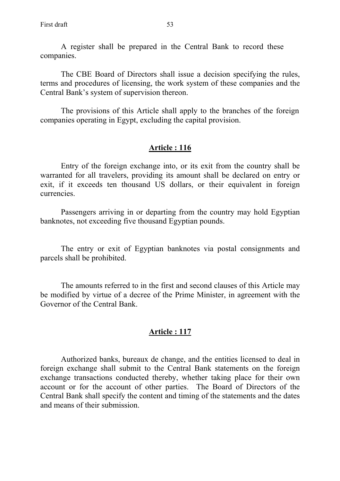A register shall be prepared in the Central Bank to record these companies.

The CBE Board of Directors shall issue a decision specifying the rules, terms and procedures of licensing, the work system of these companies and the Central Bank's system of supervision thereon.

The provisions of this Article shall apply to the branches of the foreign companies operating in Egypt, excluding the capital provision.

### **Article : 116**

 Entry of the foreign exchange into, or its exit from the country shall be warranted for all travelers, providing its amount shall be declared on entry or exit, if it exceeds ten thousand US dollars, or their equivalent in foreign currencies.

 Passengers arriving in or departing from the country may hold Egyptian banknotes, not exceeding five thousand Egyptian pounds.

 The entry or exit of Egyptian banknotes via postal consignments and parcels shall be prohibited.

 The amounts referred to in the first and second clauses of this Article may be modified by virtue of a decree of the Prime Minister, in agreement with the Governor of the Central Bank.

### **Article : 117**

 Authorized banks, bureaux de change, and the entities licensed to deal in foreign exchange shall submit to the Central Bank statements on the foreign exchange transactions conducted thereby, whether taking place for their own account or for the account of other parties. The Board of Directors of the Central Bank shall specify the content and timing of the statements and the dates and means of their submission.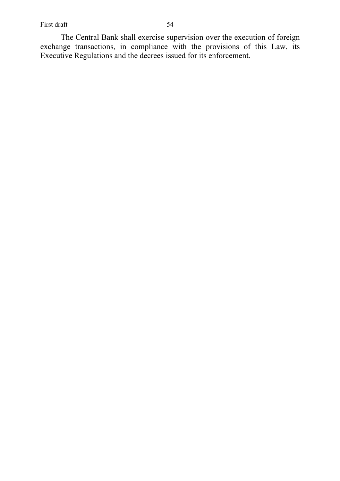The Central Bank shall exercise supervision over the execution of foreign exchange transactions, in compliance with the provisions of this Law, its Executive Regulations and the decrees issued for its enforcement.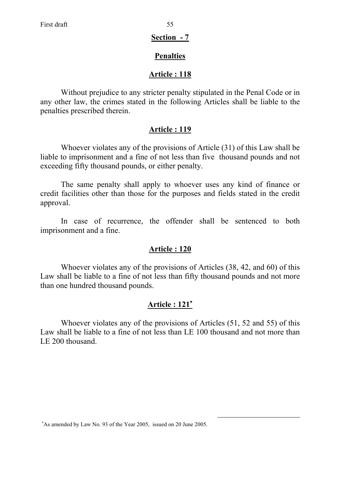## **Section - 7**

# **Penalties**

# **Article : 118**

 Without prejudice to any stricter penalty stipulated in the Penal Code or in any other law, the crimes stated in the following Articles shall be liable to the penalties prescribed therein.

# **Article : 119**

 Whoever violates any of the provisions of Article (31) of this Law shall be liable to imprisonment and a fine of not less than five thousand pounds and not exceeding fifty thousand pounds, or either penalty.

 The same penalty shall apply to whoever uses any kind of finance or credit facilities other than those for the purposes and fields stated in the credit approval.

 In case of recurrence, the offender shall be sentenced to both imprisonment and a fine.

# **Article : 120**

 Whoever violates any of the provisions of Articles (38, 42, and 60) of this Law shall be liable to a fine of not less than fifty thousand pounds and not more than one hundred thousand pounds.

# **Article : 121**<sup>∗</sup>

 Whoever violates any of the provisions of Articles (51, 52 and 55) of this Law shall be liable to a fine of not less than LE 100 thousand and not more than LE 200 thousand.

<sup>∗</sup> As amended by Law No. 93 of the Year 2005, issued on 20 June 2005.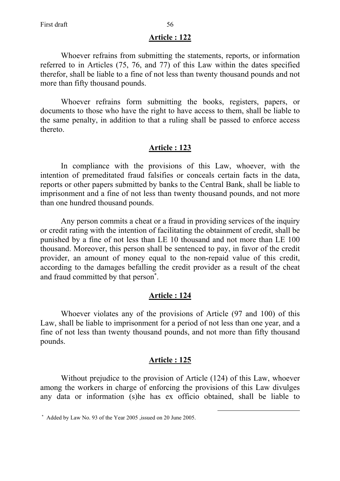Whoever refrains from submitting the statements, reports, or information referred to in Articles (75, 76, and 77) of this Law within the dates specified therefor, shall be liable to a fine of not less than twenty thousand pounds and not more than fifty thousand pounds.

 Whoever refrains form submitting the books, registers, papers, or documents to those who have the right to have access to them, shall be liable to the same penalty, in addition to that a ruling shall be passed to enforce access thereto.

## **Article : 123**

 In compliance with the provisions of this Law, whoever, with the intention of premeditated fraud falsifies or conceals certain facts in the data, reports or other papers submitted by banks to the Central Bank, shall be liable to imprisonment and a fine of not less than twenty thousand pounds, and not more than one hundred thousand pounds.

 Any person commits a cheat or a fraud in providing services of the inquiry or credit rating with the intention of facilitating the obtainment of credit, shall be punished by a fine of not less than LE 10 thousand and not more than LE 100 thousand. Moreover, this person shall be sentenced to pay, in favor of the credit provider, an amount of money equal to the non-repaid value of this credit, according to the damages befalling the credit provider as a result of the cheat and fraud committed by that person<sup>\*</sup>.

### **Article : 124**

 Whoever violates any of the provisions of Article (97 and 100) of this Law, shall be liable to imprisonment for a period of not less than one year, and a fine of not less than twenty thousand pounds, and not more than fifty thousand pounds.

## **Article : 125**

 Without prejudice to the provision of Article (124) of this Law, whoever among the workers in charge of enforcing the provisions of this Law divulges any data or information (s)he has ex officio obtained, shall be liable to

<sup>∗</sup> Added by Law No. 93 of the Year 2005 ,issued on 20 June 2005.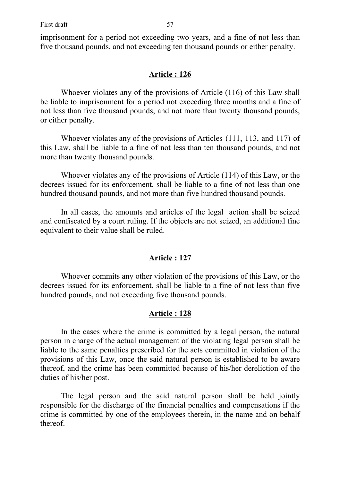imprisonment for a period not exceeding two years, and a fine of not less than five thousand pounds, and not exceeding ten thousand pounds or either penalty.

## **Article : 126**

 Whoever violates any of the provisions of Article (116) of this Law shall be liable to imprisonment for a period not exceeding three months and a fine of not less than five thousand pounds, and not more than twenty thousand pounds, or either penalty.

 Whoever violates any of the provisions of Articles (111, 113, and 117) of this Law, shall be liable to a fine of not less than ten thousand pounds, and not more than twenty thousand pounds.

Whoever violates any of the provisions of Article (114) of this Law, or the decrees issued for its enforcement, shall be liable to a fine of not less than one hundred thousand pounds, and not more than five hundred thousand pounds.

In all cases, the amounts and articles of the legal action shall be seized and confiscated by a court ruling. If the objects are not seized, an additional fine equivalent to their value shall be ruled.

# **Article : 127**

 Whoever commits any other violation of the provisions of this Law, or the decrees issued for its enforcement, shall be liable to a fine of not less than five hundred pounds, and not exceeding five thousand pounds.

## **Article : 128**

 In the cases where the crime is committed by a legal person, the natural person in charge of the actual management of the violating legal person shall be liable to the same penalties prescribed for the acts committed in violation of the provisions of this Law, once the said natural person is established to be aware thereof, and the crime has been committed because of his/her dereliction of the duties of his/her post.

 The legal person and the said natural person shall be held jointly responsible for the discharge of the financial penalties and compensations if the crime is committed by one of the employees therein, in the name and on behalf thereof.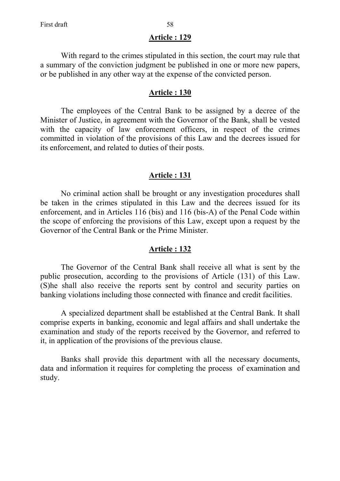With regard to the crimes stipulated in this section, the court may rule that a summary of the conviction judgment be published in one or more new papers, or be published in any other way at the expense of the convicted person.

## **Article : 130**

 The employees of the Central Bank to be assigned by a decree of the Minister of Justice, in agreement with the Governor of the Bank, shall be vested with the capacity of law enforcement officers, in respect of the crimes committed in violation of the provisions of this Law and the decrees issued for its enforcement, and related to duties of their posts.

## **Article : 131**

 No criminal action shall be brought or any investigation procedures shall be taken in the crimes stipulated in this Law and the decrees issued for its enforcement, and in Articles 116 (bis) and 116 (bis-A) of the Penal Code within the scope of enforcing the provisions of this Law, except upon a request by the Governor of the Central Bank or the Prime Minister.

## **Article : 132**

 The Governor of the Central Bank shall receive all what is sent by the public prosecution, according to the provisions of Article (131) of this Law. (S)he shall also receive the reports sent by control and security parties on banking violations including those connected with finance and credit facilities.

 A specialized department shall be established at the Central Bank. It shall comprise experts in banking, economic and legal affairs and shall undertake the examination and study of the reports received by the Governor, and referred to it, in application of the provisions of the previous clause.

 Banks shall provide this department with all the necessary documents, data and information it requires for completing the process of examination and study.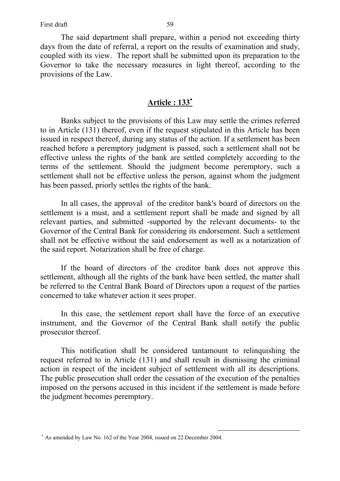The said department shall prepare, within a period not exceeding thirty days from the date of referral, a report on the results of examination and study, coupled with its view. The report shall be submitted upon its preparation to the Governor to take the necessary measures in light thereof, according to the provisions of the Law.

## **Article : 133**<sup>∗</sup>

Banks subject to the provisions of this Law may settle the crimes referred to in Article (131) thereof, even if the request stipulated in this Article has been issued in respect thereof, during any status of the action. If a settlement has been reached before a peremptory judgment is passed, such a settlement shall not be effective unless the rights of the bank are settled completely according to the terms of the settlement. Should the judgment become peremptory, such a settlement shall not be effective unless the person, against whom the judgment has been passed, priorly settles the rights of the bank.

In all cases, the approval of the creditor bank's board of directors on the settlement is a must, and a settlement report shall be made and signed by all relevant parties, and submitted -supported by the relevant documents- to the Governor of the Central Bank for considering its endorsement. Such a settlement shall not be effective without the said endorsement as well as a notarization of the said report. Notarization shall be free of charge.

If the board of directors of the creditor bank does not approve this settlement, although all the rights of the bank have been settled, the matter shall be referred to the Central Bank Board of Directors upon a request of the parties concerned to take whatever action it sees proper.

In this case, the settlement report shall have the force of an executive instrument, and the Governor of the Central Bank shall notify the public prosecutor thereof.

This notification shall be considered tantamount to relinquishing the request referred to in Article (131) and shall result in dismissing the criminal action in respect of the incident subject of settlement with all its descriptions. The public prosecution shall order the cessation of the execution of the penalties imposed on the persons accused in this incident if the settlement is made before the judgment becomes peremptory.

<sup>∗</sup> As amended by Law No. 162 of the Year 2004, issued on 22 December 2004.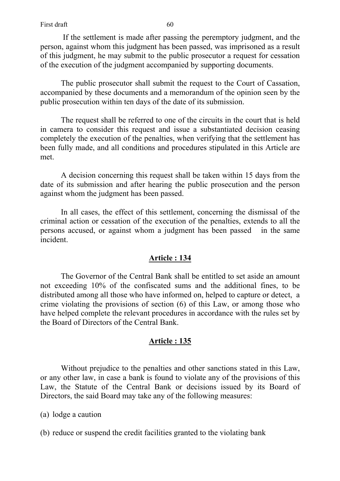If the settlement is made after passing the peremptory judgment, and the person, against whom this judgment has been passed, was imprisoned as a result of this judgment, he may submit to the public prosecutor a request for cessation of the execution of the judgment accompanied by supporting documents.

The public prosecutor shall submit the request to the Court of Cassation, accompanied by these documents and a memorandum of the opinion seen by the public prosecution within ten days of the date of its submission.

The request shall be referred to one of the circuits in the court that is held in camera to consider this request and issue a substantiated decision ceasing completely the execution of the penalties, when verifying that the settlement has been fully made, and all conditions and procedures stipulated in this Article are met.

A decision concerning this request shall be taken within 15 days from the date of its submission and after hearing the public prosecution and the person against whom the judgment has been passed.

In all cases, the effect of this settlement, concerning the dismissal of the criminal action or cessation of the execution of the penalties, extends to all the persons accused, or against whom a judgment has been passed in the same incident.

## **Article : 134**

 The Governor of the Central Bank shall be entitled to set aside an amount not exceeding 10% of the confiscated sums and the additional fines, to be distributed among all those who have informed on, helped to capture or detect, a crime violating the provisions of section (6) of this Law, or among those who have helped complete the relevant procedures in accordance with the rules set by the Board of Directors of the Central Bank.

## **Article : 135**

 Without prejudice to the penalties and other sanctions stated in this Law, or any other law, in case a bank is found to violate any of the provisions of this Law, the Statute of the Central Bank or decisions issued by its Board of Directors, the said Board may take any of the following measures:

(a) lodge a caution

(b) reduce or suspend the credit facilities granted to the violating bank